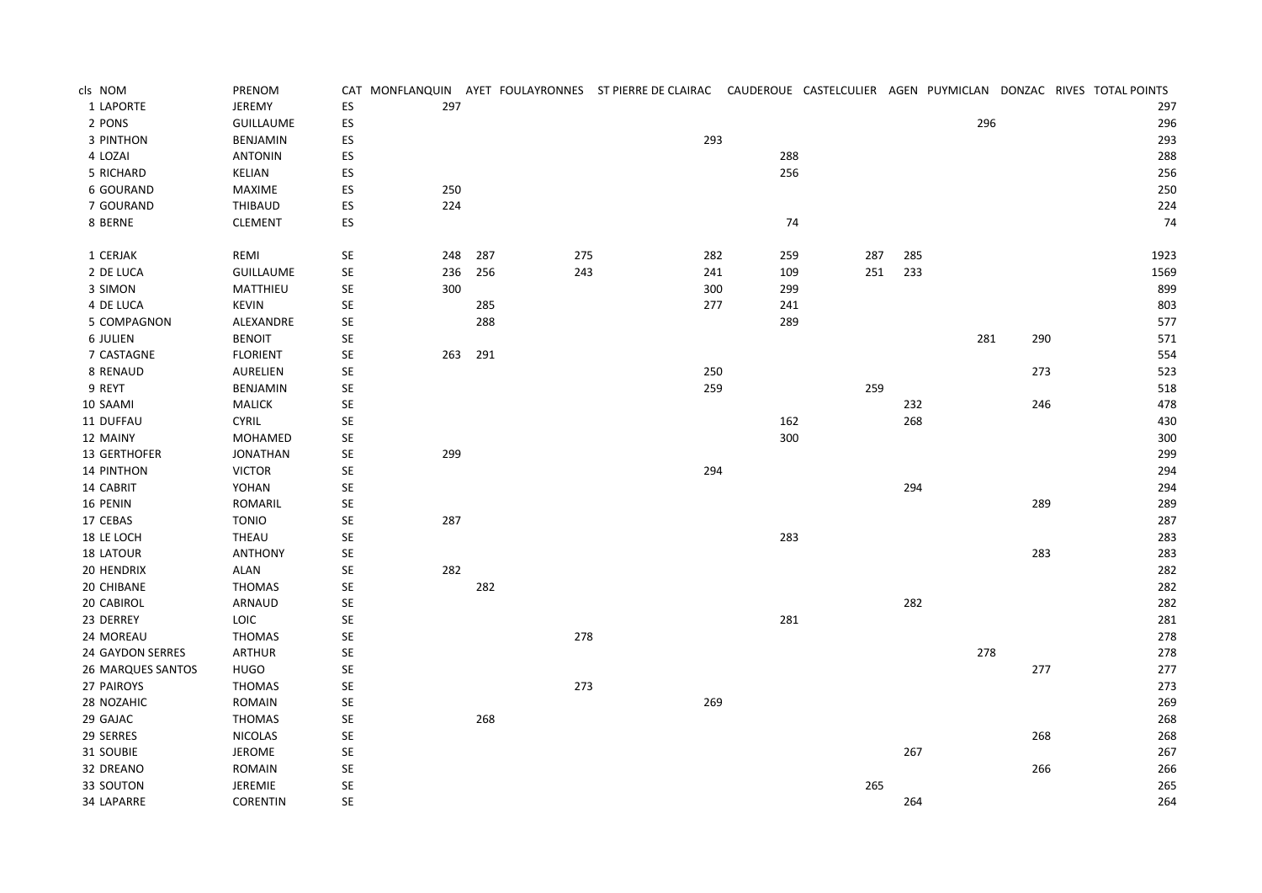| cls NOM           | PRENOM           |                      |     |     |     | CAT MONFLANQUIN AYET FOULAYRONNES ST PIERRE DE CLAIRAC CAUDEROUE CASTELCULIER AGEN PUYMICLAN DONZAC RIVES TOTAL POINTS |     |     |     |     |     |      |
|-------------------|------------------|----------------------|-----|-----|-----|------------------------------------------------------------------------------------------------------------------------|-----|-----|-----|-----|-----|------|
| 1 LAPORTE         | JEREMY           | ES                   | 297 |     |     |                                                                                                                        |     |     |     |     |     | 297  |
| 2 PONS            | <b>GUILLAUME</b> | ES                   |     |     |     |                                                                                                                        |     |     |     | 296 |     | 296  |
| 3 PINTHON         | BENJAMIN         | ${\sf ES}$           |     |     |     | 293                                                                                                                    |     |     |     |     |     | 293  |
| 4 LOZAI           | <b>ANTONIN</b>   | ES                   |     |     |     |                                                                                                                        | 288 |     |     |     |     | 288  |
| 5 RICHARD         | <b>KELIAN</b>    | ES                   |     |     |     |                                                                                                                        | 256 |     |     |     |     | 256  |
| <b>6 GOURAND</b>  | MAXIME           | ES                   | 250 |     |     |                                                                                                                        |     |     |     |     |     | 250  |
| 7 GOURAND         | THIBAUD          | ES                   | 224 |     |     |                                                                                                                        |     |     |     |     |     | 224  |
| 8 BERNE           | <b>CLEMENT</b>   | ES                   |     |     |     |                                                                                                                        | 74  |     |     |     |     | 74   |
| 1 CERJAK          | REMI             | $\mathsf{SE}\xspace$ | 248 | 287 | 275 | 282                                                                                                                    | 259 | 287 | 285 |     |     | 1923 |
| 2 DE LUCA         | <b>GUILLAUME</b> | $\mathsf{SE}\xspace$ | 236 | 256 | 243 | 241                                                                                                                    | 109 | 251 | 233 |     |     | 1569 |
| 3 SIMON           | MATTHIEU         | $\mathsf{SE}\xspace$ | 300 |     |     | 300                                                                                                                    | 299 |     |     |     |     | 899  |
| 4 DE LUCA         | <b>KEVIN</b>     | $\mathsf{SE}\xspace$ |     | 285 |     | 277                                                                                                                    | 241 |     |     |     |     | 803  |
| 5 COMPAGNON       | ALEXANDRE        | SE                   |     | 288 |     |                                                                                                                        | 289 |     |     |     |     | 577  |
| <b>6 JULIEN</b>   | <b>BENOIT</b>    | <b>SE</b>            |     |     |     |                                                                                                                        |     |     |     | 281 | 290 | 571  |
| 7 CASTAGNE        | <b>FLORIENT</b>  | $\mathsf{SE}\xspace$ | 263 | 291 |     |                                                                                                                        |     |     |     |     |     | 554  |
| 8 RENAUD          | AURELIEN         | $\mathsf{SE}\xspace$ |     |     |     | 250                                                                                                                    |     |     |     |     | 273 | 523  |
| 9 REYT            | BENJAMIN         | $\mathsf{SE}\xspace$ |     |     |     | 259                                                                                                                    |     | 259 |     |     |     | 518  |
| 10 SAAMI          | <b>MALICK</b>    | $\mathsf{SE}\xspace$ |     |     |     |                                                                                                                        |     |     | 232 |     | 246 | 478  |
| 11 DUFFAU         | <b>CYRIL</b>     | SE                   |     |     |     |                                                                                                                        | 162 |     | 268 |     |     | 430  |
| 12 MAINY          | <b>MOHAMED</b>   | $\mathsf{SE}\xspace$ |     |     |     |                                                                                                                        | 300 |     |     |     |     | 300  |
| 13 GERTHOFER      | <b>JONATHAN</b>  | $\mathsf{SE}\xspace$ | 299 |     |     |                                                                                                                        |     |     |     |     |     | 299  |
| 14 PINTHON        | <b>VICTOR</b>    | $\mathsf{SE}\xspace$ |     |     |     | 294                                                                                                                    |     |     |     |     |     | 294  |
| 14 CABRIT         | YOHAN            | $\mathsf{SE}\xspace$ |     |     |     |                                                                                                                        |     |     | 294 |     |     | 294  |
| 16 PENIN          | ROMARIL          | <b>SE</b>            |     |     |     |                                                                                                                        |     |     |     |     | 289 | 289  |
| 17 CEBAS          | <b>TONIO</b>     | SE                   | 287 |     |     |                                                                                                                        |     |     |     |     |     | 287  |
| 18 LE LOCH        | <b>THEAU</b>     | SE                   |     |     |     |                                                                                                                        | 283 |     |     |     |     | 283  |
| 18 LATOUR         | <b>ANTHONY</b>   | SE                   |     |     |     |                                                                                                                        |     |     |     |     | 283 | 283  |
| 20 HENDRIX        | <b>ALAN</b>      | $\mathsf{SE}\xspace$ | 282 |     |     |                                                                                                                        |     |     |     |     |     | 282  |
| 20 CHIBANE        | <b>THOMAS</b>    | $\mathsf{SE}\xspace$ |     | 282 |     |                                                                                                                        |     |     |     |     |     | 282  |
| 20 CABIROL        | ARNAUD           | <b>SE</b>            |     |     |     |                                                                                                                        |     |     | 282 |     |     | 282  |
| 23 DERREY         | LOIC             | SE                   |     |     |     |                                                                                                                        | 281 |     |     |     |     | 281  |
| 24 MOREAU         | <b>THOMAS</b>    | $\mathsf{SE}\xspace$ |     |     | 278 |                                                                                                                        |     |     |     |     |     | 278  |
| 24 GAYDON SERRES  | ARTHUR           | $\mathsf{SE}\xspace$ |     |     |     |                                                                                                                        |     |     |     | 278 |     | 278  |
| 26 MARQUES SANTOS | <b>HUGO</b>      | $\mathsf{SE}\xspace$ |     |     |     |                                                                                                                        |     |     |     |     | 277 | 277  |
| 27 PAIROYS        | <b>THOMAS</b>    | <b>SE</b>            |     |     | 273 |                                                                                                                        |     |     |     |     |     | 273  |
| 28 NOZAHIC        | ROMAIN           | SE                   |     |     |     | 269                                                                                                                    |     |     |     |     |     | 269  |
| 29 GAJAC          | <b>THOMAS</b>    | SE                   |     | 268 |     |                                                                                                                        |     |     |     |     |     | 268  |
| 29 SERRES         | <b>NICOLAS</b>   | SE                   |     |     |     |                                                                                                                        |     |     |     |     | 268 | 268  |
| 31 SOUBIE         | <b>JEROME</b>    | $\mathsf{SE}\xspace$ |     |     |     |                                                                                                                        |     |     | 267 |     |     | 267  |
| 32 DREANO         | ROMAIN           | $\mathsf{SE}\xspace$ |     |     |     |                                                                                                                        |     |     |     |     | 266 | 266  |
| 33 SOUTON         | JEREMIE          | SE                   |     |     |     |                                                                                                                        |     | 265 |     |     |     | 265  |
| 34 LAPARRE        | <b>CORENTIN</b>  | SE                   |     |     |     |                                                                                                                        |     |     | 264 |     |     | 264  |
|                   |                  |                      |     |     |     |                                                                                                                        |     |     |     |     |     |      |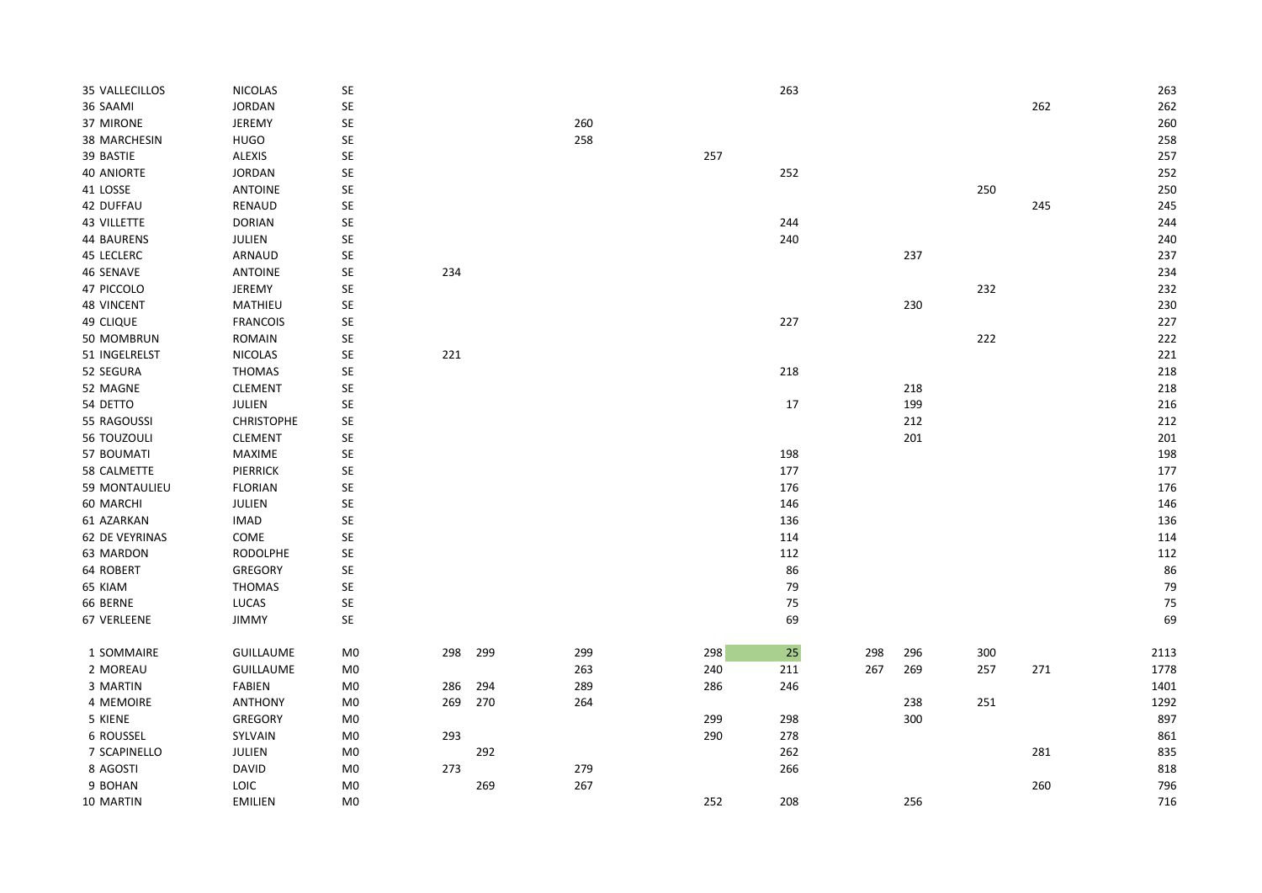| 35 VALLECILLOS    | <b>NICOLAS</b>    | SE                   |     |     |     |     | 263    |     |     |     |     | 263  |
|-------------------|-------------------|----------------------|-----|-----|-----|-----|--------|-----|-----|-----|-----|------|
| 36 SAAMI          | <b>JORDAN</b>     | SE                   |     |     |     |     |        |     |     |     | 262 | 262  |
| 37 MIRONE         | JEREMY            | SE                   |     |     | 260 |     |        |     |     |     |     | 260  |
| 38 MARCHESIN      | <b>HUGO</b>       | SE                   |     |     | 258 |     |        |     |     |     |     | 258  |
| 39 BASTIE         | ALEXIS            | SE                   |     |     |     | 257 |        |     |     |     |     | 257  |
| <b>40 ANIORTE</b> | <b>JORDAN</b>     | SE                   |     |     |     |     | 252    |     |     |     |     | 252  |
| 41 LOSSE          | <b>ANTOINE</b>    | SE                   |     |     |     |     |        |     |     | 250 |     | 250  |
| 42 DUFFAU         | RENAUD            | SE                   |     |     |     |     |        |     |     |     | 245 | 245  |
| 43 VILLETTE       | <b>DORIAN</b>     | $\mathsf{SE}\xspace$ |     |     |     |     | 244    |     |     |     |     | 244  |
| 44 BAURENS        | JULIEN            | SE                   |     |     |     |     | 240    |     |     |     |     | 240  |
| 45 LECLERC        | ARNAUD            | SE                   |     |     |     |     |        |     | 237 |     |     | 237  |
| 46 SENAVE         | <b>ANTOINE</b>    | SE                   | 234 |     |     |     |        |     |     |     |     | 234  |
| 47 PICCOLO        | <b>JEREMY</b>     | SE                   |     |     |     |     |        |     |     | 232 |     | 232  |
| <b>48 VINCENT</b> | MATHIEU           | SE                   |     |     |     |     |        |     | 230 |     |     | 230  |
| 49 CLIQUE         | <b>FRANCOIS</b>   | SE                   |     |     |     |     | 227    |     |     |     |     | 227  |
| 50 MOMBRUN        | <b>ROMAIN</b>     | SE                   |     |     |     |     |        |     |     | 222 |     | 222  |
| 51 INGELRELST     | NICOLAS           | SE                   | 221 |     |     |     |        |     |     |     |     | 221  |
| 52 SEGURA         | THOMAS            | SE                   |     |     |     |     | 218    |     |     |     |     | 218  |
| 52 MAGNE          | CLEMENT           | SE                   |     |     |     |     |        |     | 218 |     |     | 218  |
| 54 DETTO          | JULIEN            | SE                   |     |     |     |     | $17\,$ |     | 199 |     |     | 216  |
| 55 RAGOUSSI       | <b>CHRISTOPHE</b> | SE                   |     |     |     |     |        |     | 212 |     |     | 212  |
| 56 TOUZOULI       | <b>CLEMENT</b>    | SE                   |     |     |     |     |        |     | 201 |     |     | 201  |
| 57 BOUMATI        | MAXIME            | SE                   |     |     |     |     | 198    |     |     |     |     | 198  |
| 58 CALMETTE       | PIERRICK          | SE                   |     |     |     |     | 177    |     |     |     |     | 177  |
| 59 MONTAULIEU     | <b>FLORIAN</b>    | SE                   |     |     |     |     | 176    |     |     |     |     | 176  |
| 60 MARCHI         | <b>JULIEN</b>     | SE                   |     |     |     |     | 146    |     |     |     |     | 146  |
| 61 AZARKAN        | <b>IMAD</b>       | SE                   |     |     |     |     | 136    |     |     |     |     | 136  |
| 62 DE VEYRINAS    | COME              | SE                   |     |     |     |     | 114    |     |     |     |     | 114  |
| 63 MARDON         | <b>RODOLPHE</b>   | SE                   |     |     |     |     | 112    |     |     |     |     | 112  |
| 64 ROBERT         | GREGORY           | SE                   |     |     |     |     | 86     |     |     |     |     | 86   |
| 65 KIAM           | THOMAS            | SE                   |     |     |     |     | 79     |     |     |     |     | 79   |
| 66 BERNE          | <b>LUCAS</b>      | SE                   |     |     |     |     | 75     |     |     |     |     | 75   |
| 67 VERLEENE       | <b>JIMMY</b>      | SE                   |     |     |     |     | 69     |     |     |     |     | 69   |
|                   |                   |                      |     |     |     |     |        |     |     |     |     |      |
| 1 SOMMAIRE        | <b>GUILLAUME</b>  | M <sub>0</sub>       | 298 | 299 | 299 | 298 | 25     | 298 | 296 | 300 |     | 2113 |
| 2 MOREAU          | <b>GUILLAUME</b>  | M <sub>0</sub>       |     |     | 263 | 240 | 211    | 267 | 269 | 257 | 271 | 1778 |
| 3 MARTIN          | FABIEN            | M0                   | 286 | 294 | 289 | 286 | 246    |     |     |     |     | 1401 |
| 4 MEMOIRE         | <b>ANTHONY</b>    | M0                   | 269 | 270 | 264 |     |        |     | 238 | 251 |     | 1292 |
| 5 KIENE           | GREGORY           | M <sub>0</sub>       |     |     |     | 299 | 298    |     | 300 |     |     | 897  |
| 6 ROUSSEL         | SYLVAIN           | M <sub>0</sub>       | 293 |     |     | 290 | 278    |     |     |     |     | 861  |
| 7 SCAPINELLO      | JULIEN            | $_{\rm M0}$          |     | 292 |     |     | 262    |     |     |     | 281 | 835  |
| 8 AGOSTI          | <b>DAVID</b>      | M0                   | 273 |     | 279 |     | 266    |     |     |     |     | 818  |
| 9 BOHAN           | <b>LOIC</b>       | M <sub>0</sub>       |     | 269 | 267 |     |        |     |     |     | 260 | 796  |
| 10 MARTIN         | <b>EMILIEN</b>    | $_{\rm M0}$          |     |     |     | 252 | 208    |     | 256 |     |     | 716  |
|                   |                   |                      |     |     |     |     |        |     |     |     |     |      |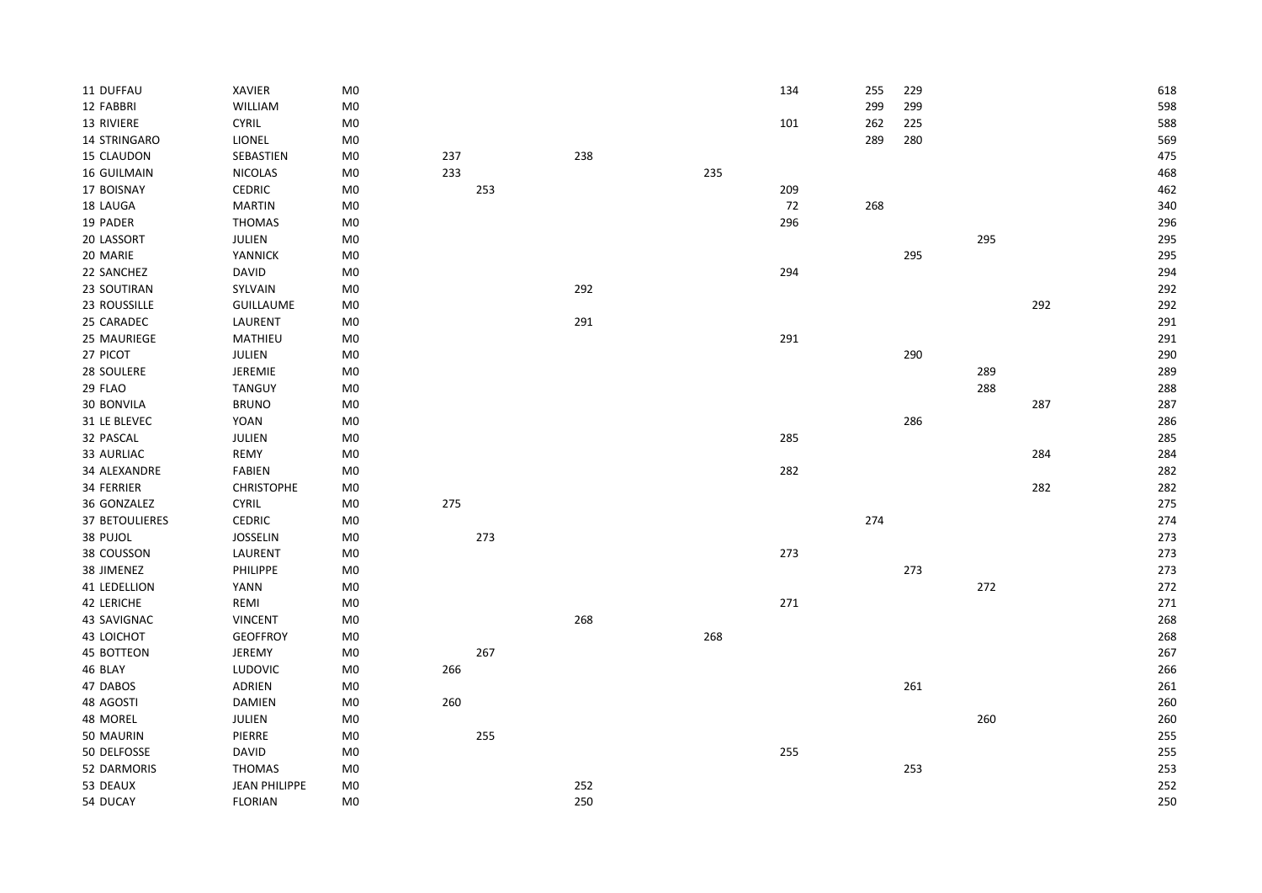| 11 DUFFAU             | XAVIER               | $M0$           |     |     |     |     | 134 | 255 | 229 |     |     | 618 |
|-----------------------|----------------------|----------------|-----|-----|-----|-----|-----|-----|-----|-----|-----|-----|
| 12 FABBRI             | WILLIAM              | M <sub>0</sub> |     |     |     |     |     | 299 | 299 |     |     | 598 |
| 13 RIVIERE            | <b>CYRIL</b>         | $M0$           |     |     |     |     | 101 | 262 | 225 |     |     | 588 |
| 14 STRINGARO          | LIONEL               | $M0$           |     |     |     |     |     | 289 | 280 |     |     | 569 |
| 15 CLAUDON            | SEBASTIEN            | M <sub>0</sub> | 237 |     | 238 |     |     |     |     |     |     | 475 |
| <b>16 GUILMAIN</b>    | <b>NICOLAS</b>       | $M0$           | 233 |     |     | 235 |     |     |     |     |     | 468 |
| 17 BOISNAY            | <b>CEDRIC</b>        | M0             |     | 253 |     |     | 209 |     |     |     |     | 462 |
| 18 LAUGA              | <b>MARTIN</b>        | M <sub>0</sub> |     |     |     |     | 72  | 268 |     |     |     | 340 |
| 19 PADER              | <b>THOMAS</b>        | M <sub>0</sub> |     |     |     |     | 296 |     |     |     |     | 296 |
| 20 LASSORT            | JULIEN               | M0             |     |     |     |     |     |     |     | 295 |     | 295 |
| 20 MARIE              | YANNICK              | M <sub>0</sub> |     |     |     |     |     |     | 295 |     |     | 295 |
| 22 SANCHEZ            | <b>DAVID</b>         | M <sub>0</sub> |     |     |     |     | 294 |     |     |     |     | 294 |
| 23 SOUTIRAN           | SYLVAIN              | M0             |     |     | 292 |     |     |     |     |     |     | 292 |
| 23 ROUSSILLE          | <b>GUILLAUME</b>     | M0             |     |     |     |     |     |     |     |     | 292 | 292 |
| 25 CARADEC            | LAURENT              | M <sub>0</sub> |     |     | 291 |     |     |     |     |     |     | 291 |
| 25 MAURIEGE           | MATHIEU              | $M0$           |     |     |     |     | 291 |     |     |     |     | 291 |
| 27 PICOT              | JULIEN               | $M0$           |     |     |     |     |     |     | 290 |     |     | 290 |
| 28 SOULERE            | JEREMIE              | M0             |     |     |     |     |     |     |     | 289 |     | 289 |
| 29 FLAO               | <b>TANGUY</b>        | M0             |     |     |     |     |     |     |     | 288 |     | 288 |
| 30 BONVILA            | <b>BRUNO</b>         | M <sub>0</sub> |     |     |     |     |     |     |     |     | 287 | 287 |
| 31 LE BLEVEC          | YOAN                 | M <sub>0</sub> |     |     |     |     |     |     | 286 |     |     | 286 |
| 32 PASCAL             | JULIEN               | M <sub>0</sub> |     |     |     |     | 285 |     |     |     |     | 285 |
| 33 AURLIAC            | REMY                 | $_{\rm M0}$    |     |     |     |     |     |     |     |     | 284 | 284 |
| 34 ALEXANDRE          | <b>FABIEN</b>        | $_{\rm M0}$    |     |     |     |     | 282 |     |     |     |     | 282 |
| 34 FERRIER            | <b>CHRISTOPHE</b>    | M <sub>0</sub> |     |     |     |     |     |     |     |     | 282 | 282 |
| 36 GONZALEZ           | <b>CYRIL</b>         | M0             | 275 |     |     |     |     |     |     |     |     | 275 |
| <b>37 BETOULIERES</b> | <b>CEDRIC</b>        | M <sub>0</sub> |     |     |     |     |     | 274 |     |     |     | 274 |
| 38 PUJOL              | <b>JOSSELIN</b>      | M <sub>0</sub> |     | 273 |     |     |     |     |     |     |     | 273 |
| 38 COUSSON            | LAURENT              | $_{\rm M0}$    |     |     |     |     | 273 |     |     |     |     | 273 |
| 38 JIMENEZ            | <b>PHILIPPE</b>      | M <sub>0</sub> |     |     |     |     |     |     | 273 |     |     | 273 |
| 41 LEDELLION          | YANN                 | M <sub>0</sub> |     |     |     |     |     |     |     | 272 |     | 272 |
| 42 LERICHE            | REMI                 | M0             |     |     |     |     | 271 |     |     |     |     | 271 |
| 43 SAVIGNAC           | <b>VINCENT</b>       | M0             |     |     | 268 |     |     |     |     |     |     | 268 |
| 43 LOICHOT            | <b>GEOFFROY</b>      | M <sub>0</sub> |     |     |     | 268 |     |     |     |     |     | 268 |
| 45 BOTTEON            | JEREMY               | M <sub>0</sub> |     | 267 |     |     |     |     |     |     |     | 267 |
| 46 BLAY               | LUDOVIC              | $_{\rm M0}$    | 266 |     |     |     |     |     |     |     |     | 266 |
| 47 DABOS              | ADRIEN               | M0             |     |     |     |     |     |     | 261 |     |     | 261 |
| 48 AGOSTI             | <b>DAMIEN</b>        | M <sub>0</sub> | 260 |     |     |     |     |     |     |     |     | 260 |
| 48 MOREL              | JULIEN               | M <sub>0</sub> |     |     |     |     |     |     |     | 260 |     | 260 |
| 50 MAURIN             | PIERRE               | M <sub>0</sub> |     | 255 |     |     |     |     |     |     |     | 255 |
| 50 DELFOSSE           | <b>DAVID</b>         | M <sub>0</sub> |     |     |     |     | 255 |     |     |     |     | 255 |
| 52 DARMORIS           | THOMAS               | M0             |     |     |     |     |     |     | 253 |     |     | 253 |
| 53 DEAUX              | <b>JEAN PHILIPPE</b> | $M0$           |     |     | 252 |     |     |     |     |     |     | 252 |
| 54 DUCAY              | <b>FLORIAN</b>       | M <sub>0</sub> |     |     | 250 |     |     |     |     |     |     | 250 |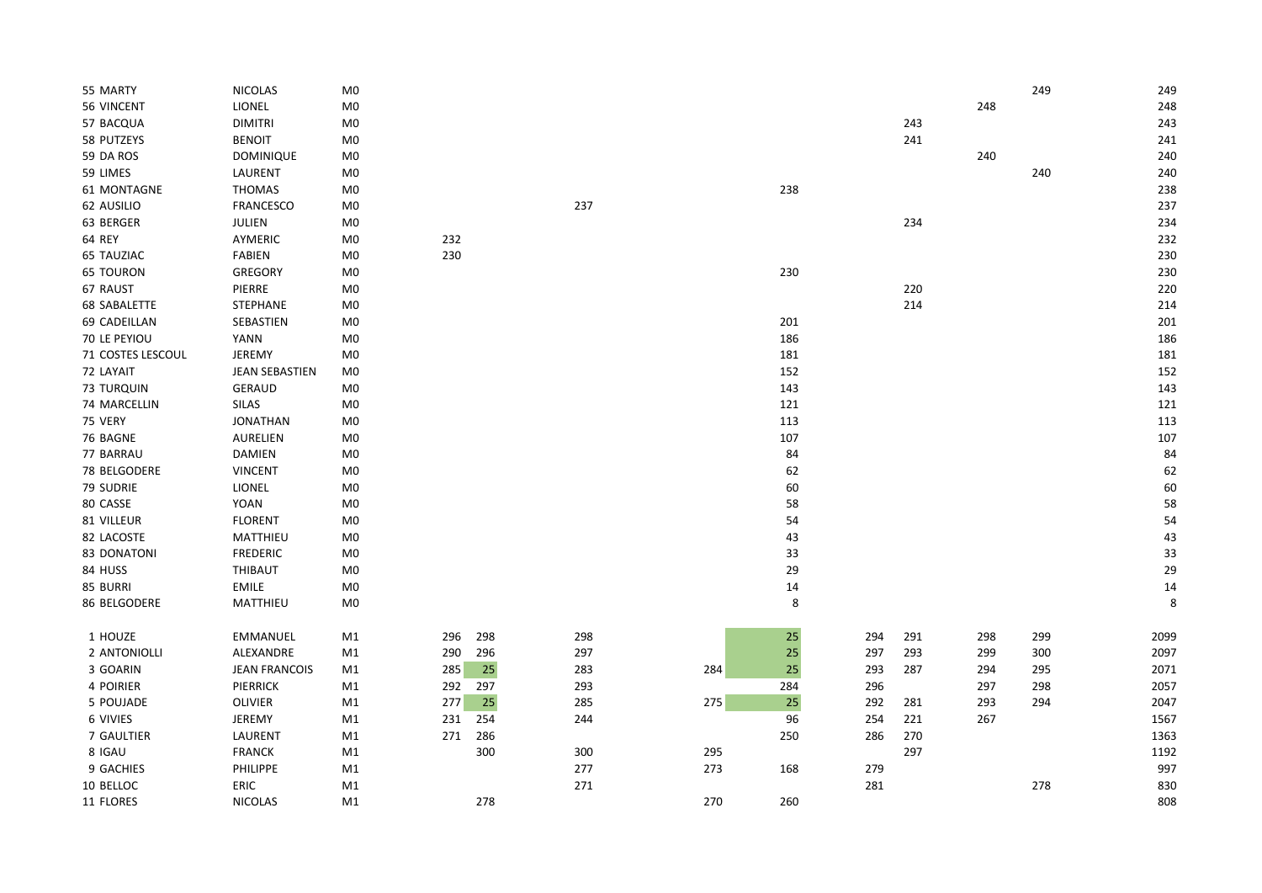| 55 MARTY            | <b>NICOLAS</b>       | M <sub>0</sub> |     |     |     |     |        |     |     |     | 249 | 249  |
|---------------------|----------------------|----------------|-----|-----|-----|-----|--------|-----|-----|-----|-----|------|
| 56 VINCENT          | LIONEL               | M <sub>0</sub> |     |     |     |     |        |     |     | 248 |     | 248  |
| 57 BACQUA           | <b>DIMITRI</b>       | M <sub>0</sub> |     |     |     |     |        |     | 243 |     |     | 243  |
| 58 PUTZEYS          | <b>BENOIT</b>        | M <sub>0</sub> |     |     |     |     |        |     | 241 |     |     | 241  |
| 59 DA ROS           | <b>DOMINIQUE</b>     | M <sub>0</sub> |     |     |     |     |        |     |     | 240 |     | 240  |
| 59 LIMES            | LAURENT              | M <sub>0</sub> |     |     |     |     |        |     |     |     | 240 | 240  |
| 61 MONTAGNE         | <b>THOMAS</b>        | M <sub>0</sub> |     |     |     |     | 238    |     |     |     |     | 238  |
| 62 AUSILIO          | <b>FRANCESCO</b>     | M <sub>0</sub> |     |     | 237 |     |        |     |     |     |     | 237  |
| 63 BERGER           | JULIEN               | M <sub>0</sub> |     |     |     |     |        |     | 234 |     |     | 234  |
| 64 REY              | AYMERIC              | M <sub>0</sub> | 232 |     |     |     |        |     |     |     |     | 232  |
| 65 TAUZIAC          | FABIEN               | M <sub>0</sub> | 230 |     |     |     |        |     |     |     |     | 230  |
| <b>65 TOURON</b>    | <b>GREGORY</b>       | M <sub>0</sub> |     |     |     |     | 230    |     |     |     |     | 230  |
| 67 RAUST            | PIERRE               | M0             |     |     |     |     |        |     | 220 |     |     | 220  |
| <b>68 SABALETTE</b> | <b>STEPHANE</b>      | M <sub>0</sub> |     |     |     |     |        |     | 214 |     |     | 214  |
| 69 CADEILLAN        | SEBASTIEN            | M <sub>0</sub> |     |     |     |     | 201    |     |     |     |     | 201  |
| 70 LE PEYIOU        | <b>YANN</b>          | M <sub>0</sub> |     |     |     |     | 186    |     |     |     |     | 186  |
| 71 COSTES LESCOUL   | JEREMY               | M <sub>0</sub> |     |     |     |     | 181    |     |     |     |     | 181  |
| 72 LAYAIT           | JEAN SEBASTIEN       | M <sub>0</sub> |     |     |     |     | 152    |     |     |     |     | 152  |
| <b>73 TURQUIN</b>   | <b>GERAUD</b>        | M <sub>0</sub> |     |     |     |     | 143    |     |     |     |     | 143  |
| 74 MARCELLIN        | SILAS                | M <sub>0</sub> |     |     |     |     | 121    |     |     |     |     | 121  |
| 75 VERY             | <b>JONATHAN</b>      | M <sub>0</sub> |     |     |     |     | 113    |     |     |     |     | 113  |
| 76 BAGNE            | <b>AURELIEN</b>      | M <sub>0</sub> |     |     |     |     | 107    |     |     |     |     | 107  |
| 77 BARRAU           | <b>DAMIEN</b>        | M0             |     |     |     |     | 84     |     |     |     |     | 84   |
| 78 BELGODERE        | <b>VINCENT</b>       | M <sub>0</sub> |     |     |     |     | 62     |     |     |     |     | 62   |
| 79 SUDRIE           | <b>LIONEL</b>        | M <sub>0</sub> |     |     |     |     | 60     |     |     |     |     | 60   |
| 80 CASSE            | <b>YOAN</b>          | M <sub>0</sub> |     |     |     |     | 58     |     |     |     |     | 58   |
| 81 VILLEUR          | <b>FLORENT</b>       | M <sub>0</sub> |     |     |     |     | 54     |     |     |     |     | 54   |
| 82 LACOSTE          | MATTHIEU             | M0             |     |     |     |     | 43     |     |     |     |     | 43   |
| 83 DONATONI         | <b>FREDERIC</b>      | M <sub>0</sub> |     |     |     |     | 33     |     |     |     |     | 33   |
| 84 HUSS             | THIBAUT              | M <sub>0</sub> |     |     |     |     | 29     |     |     |     |     | 29   |
| 85 BURRI            | <b>EMILE</b>         | M <sub>0</sub> |     |     |     |     | 14     |     |     |     |     | 14   |
| 86 BELGODERE        | MATTHIEU             | M <sub>0</sub> |     |     |     |     | 8      |     |     |     |     | 8    |
| 1 HOUZE             | <b>EMMANUEL</b>      | M1             | 296 | 298 | 298 |     | $25\,$ | 294 | 291 | 298 | 299 | 2099 |
| 2 ANTONIOLLI        | ALEXANDRE            | M1             | 290 | 296 | 297 |     | 25     | 297 | 293 | 299 | 300 | 2097 |
| 3 GOARIN            | <b>JEAN FRANCOIS</b> | M1             | 285 | 25  | 283 | 284 | 25     | 293 | 287 | 294 | 295 | 2071 |
| 4 POIRIER           | <b>PIERRICK</b>      | M1             | 292 | 297 | 293 |     | 284    | 296 |     | 297 | 298 | 2057 |
| 5 POUJADE           | OLIVIER              | M1             | 277 | 25  | 285 | 275 | 25     | 292 | 281 | 293 | 294 | 2047 |
| 6 VIVIES            | JEREMY               | M1             | 231 | 254 | 244 |     | 96     | 254 | 221 | 267 |     | 1567 |
| 7 GAULTIER          | LAURENT              | M1             | 271 | 286 |     |     | 250    | 286 | 270 |     |     | 1363 |
| 8 IGAU              | <b>FRANCK</b>        | M1             |     | 300 | 300 | 295 |        |     | 297 |     |     | 1192 |
| 9 GACHIES           | PHILIPPE             | M1             |     |     | 277 | 273 | 168    | 279 |     |     |     | 997  |
| 10 BELLOC           | ERIC                 | M1             |     |     | 271 |     |        | 281 |     |     | 278 | 830  |
| 11 FLORES           | <b>NICOLAS</b>       | M1             |     | 278 |     | 270 | 260    |     |     |     |     | 808  |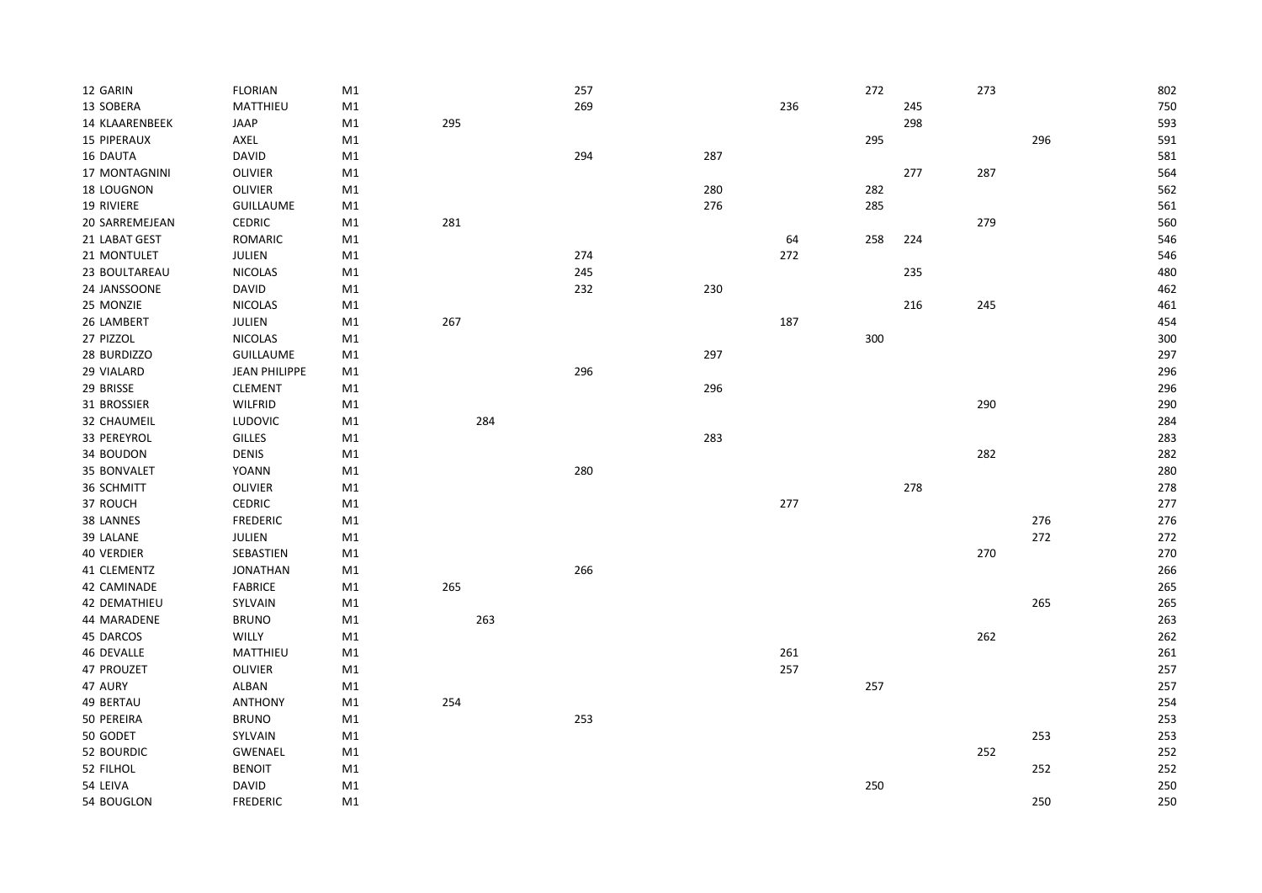| 12 GARIN           | <b>FLORIAN</b>       | M1 |     | 257 |     |     | 272 |     | 273 |     | 802 |
|--------------------|----------------------|----|-----|-----|-----|-----|-----|-----|-----|-----|-----|
| 13 SOBERA          | MATTHIEU             | M1 |     | 269 |     | 236 |     | 245 |     |     | 750 |
| 14 KLAARENBEEK     | JAAP                 | M1 | 295 |     |     |     |     | 298 |     |     | 593 |
| <b>15 PIPERAUX</b> | AXEL                 | M1 |     |     |     |     | 295 |     |     | 296 | 591 |
| 16 DAUTA           | <b>DAVID</b>         | M1 |     | 294 | 287 |     |     |     |     |     | 581 |
| 17 MONTAGNINI      | <b>OLIVIER</b>       | M1 |     |     |     |     |     | 277 | 287 |     | 564 |
| 18 LOUGNON         | <b>OLIVIER</b>       | M1 |     |     | 280 |     | 282 |     |     |     | 562 |
| 19 RIVIERE         | <b>GUILLAUME</b>     | M1 |     |     | 276 |     | 285 |     |     |     | 561 |
| 20 SARREMEJEAN     | <b>CEDRIC</b>        | M1 | 281 |     |     |     |     |     | 279 |     | 560 |
| 21 LABAT GEST      | ROMARIC              | M1 |     |     |     | 64  | 258 | 224 |     |     | 546 |
| 21 MONTULET        | JULIEN               | M1 |     | 274 |     | 272 |     |     |     |     | 546 |
| 23 BOULTAREAU      | <b>NICOLAS</b>       | M1 |     | 245 |     |     |     | 235 |     |     | 480 |
| 24 JANSSOONE       | <b>DAVID</b>         | M1 |     | 232 | 230 |     |     |     |     |     | 462 |
| 25 MONZIE          | <b>NICOLAS</b>       | M1 |     |     |     |     |     | 216 | 245 |     | 461 |
| 26 LAMBERT         | JULIEN               | M1 | 267 |     |     | 187 |     |     |     |     | 454 |
| 27 PIZZOL          | <b>NICOLAS</b>       | M1 |     |     |     |     | 300 |     |     |     | 300 |
| 28 BURDIZZO        | <b>GUILLAUME</b>     | M1 |     |     | 297 |     |     |     |     |     | 297 |
| 29 VIALARD         | <b>JEAN PHILIPPE</b> | M1 |     | 296 |     |     |     |     |     |     | 296 |
| 29 BRISSE          | <b>CLEMENT</b>       | M1 |     |     | 296 |     |     |     |     |     | 296 |
| 31 BROSSIER        | <b>WILFRID</b>       | M1 |     |     |     |     |     |     | 290 |     | 290 |
| 32 CHAUMEIL        | <b>LUDOVIC</b>       | M1 | 284 |     |     |     |     |     |     |     | 284 |
| 33 PEREYROL        | <b>GILLES</b>        | M1 |     |     | 283 |     |     |     |     |     | 283 |
| 34 BOUDON          | <b>DENIS</b>         | M1 |     |     |     |     |     |     | 282 |     | 282 |
| 35 BONVALET        | <b>YOANN</b>         | M1 |     | 280 |     |     |     |     |     |     | 280 |
| 36 SCHMITT         | <b>OLIVIER</b>       | M1 |     |     |     |     |     | 278 |     |     | 278 |
| 37 ROUCH           | <b>CEDRIC</b>        | M1 |     |     |     | 277 |     |     |     |     | 277 |
| 38 LANNES          | <b>FREDERIC</b>      | M1 |     |     |     |     |     |     |     | 276 | 276 |
| 39 LALANE          | JULIEN               | M1 |     |     |     |     |     |     |     | 272 | 272 |
| <b>40 VERDIER</b>  | SEBASTIEN            | M1 |     |     |     |     |     |     | 270 |     | 270 |
| 41 CLEMENTZ        | <b>JONATHAN</b>      | M1 |     | 266 |     |     |     |     |     |     | 266 |
| 42 CAMINADE        | <b>FABRICE</b>       | M1 | 265 |     |     |     |     |     |     |     | 265 |
| 42 DEMATHIEU       | SYLVAIN              | M1 |     |     |     |     |     |     |     | 265 | 265 |
| 44 MARADENE        | <b>BRUNO</b>         | M1 | 263 |     |     |     |     |     |     |     | 263 |
| 45 DARCOS          | <b>WILLY</b>         | M1 |     |     |     |     |     |     | 262 |     | 262 |
| 46 DEVALLE         | MATTHIEU             | M1 |     |     |     | 261 |     |     |     |     | 261 |
| 47 PROUZET         | <b>OLIVIER</b>       | M1 |     |     |     | 257 |     |     |     |     | 257 |
| 47 AURY            | ALBAN                | M1 |     |     |     |     | 257 |     |     |     | 257 |
|                    |                      |    |     |     |     |     |     |     |     |     |     |
| 49 BERTAU          | <b>ANTHONY</b>       | M1 | 254 |     |     |     |     |     |     |     | 254 |
| 50 PEREIRA         | <b>BRUNO</b>         | M1 |     | 253 |     |     |     |     |     |     | 253 |
| 50 GODET           | SYLVAIN              | M1 |     |     |     |     |     |     |     | 253 | 253 |
| 52 BOURDIC         | GWENAEL              | M1 |     |     |     |     |     |     | 252 |     | 252 |
| 52 FILHOL          | <b>BENOIT</b>        | M1 |     |     |     |     |     |     |     | 252 | 252 |
| 54 LEIVA           | <b>DAVID</b>         | M1 |     |     |     |     | 250 |     |     |     | 250 |
| 54 BOUGLON         | <b>FREDERIC</b>      | M1 |     |     |     |     |     |     |     | 250 | 250 |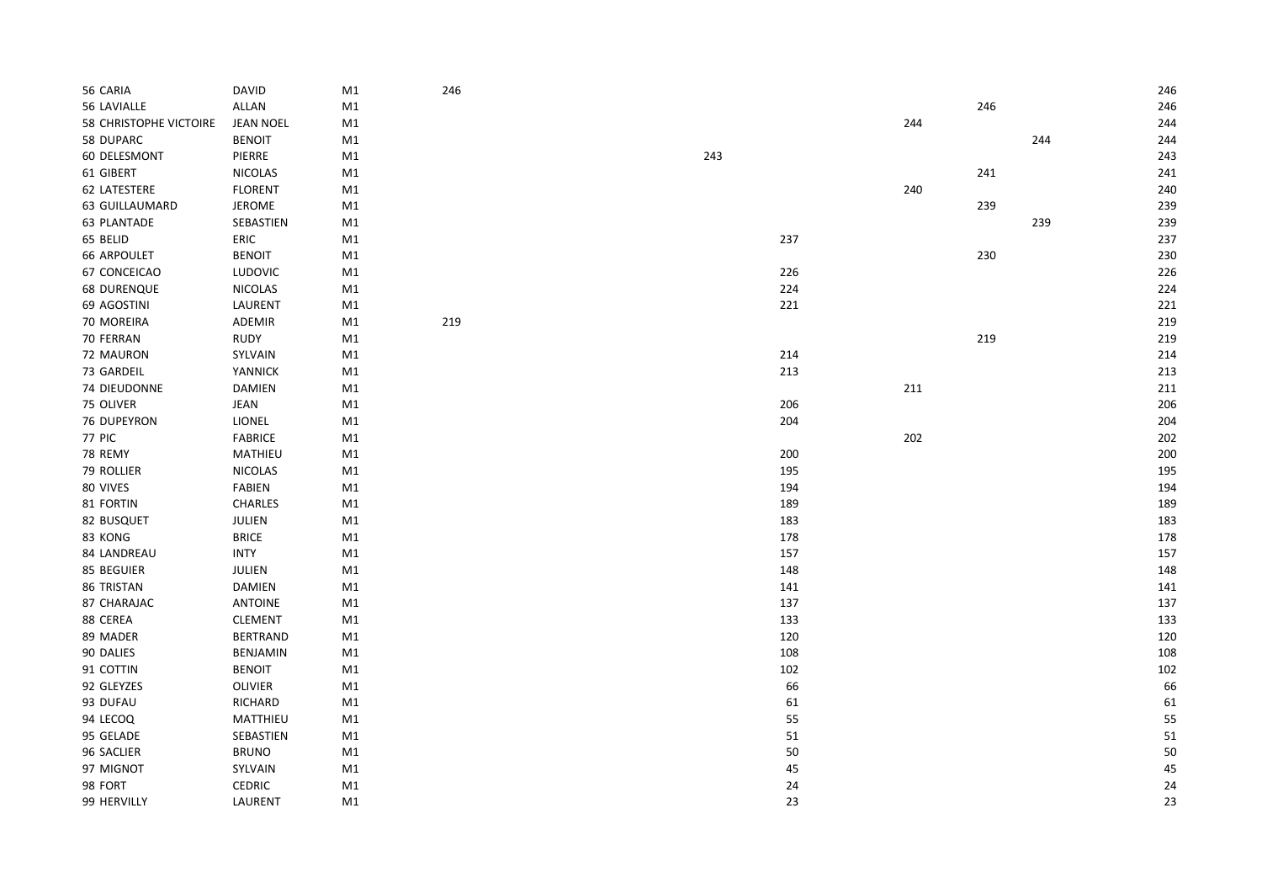| 56 CARIA               | <b>DAVID</b>     | M1            | 246 |     |     |     | 246        |
|------------------------|------------------|---------------|-----|-----|-----|-----|------------|
| 56 LAVIALLE            | ALLAN            | $\mathsf{M1}$ |     |     |     | 246 | 246        |
| 58 CHRISTOPHE VICTOIRE | <b>JEAN NOEL</b> | $\mathsf{M1}$ |     |     | 244 |     | 244        |
| 58 DUPARC              | <b>BENOIT</b>    | M1            |     |     |     |     | 244<br>244 |
| 60 DELESMONT           | PIERRE           | M1            |     | 243 |     |     | 243        |
| 61 GIBERT              | <b>NICOLAS</b>   | M1            |     |     |     | 241 | 241        |
| 62 LATESTERE           | <b>FLORENT</b>   | M1            |     |     | 240 |     | 240        |
| <b>63 GUILLAUMARD</b>  | JEROME           | M1            |     |     |     | 239 | 239        |
| <b>63 PLANTADE</b>     | SEBASTIEN        | M1            |     |     |     |     | 239<br>239 |
| 65 BELID               | ERIC             | M1            |     | 237 |     |     | 237        |
| <b>66 ARPOULET</b>     | <b>BENOIT</b>    | M1            |     |     |     | 230 | 230        |
| 67 CONCEICAO           | LUDOVIC          | M1            |     | 226 |     |     | 226        |
| <b>68 DURENQUE</b>     | <b>NICOLAS</b>   | M1            |     | 224 |     |     | 224        |
| 69 AGOSTINI            | LAURENT          | M1            |     | 221 |     |     | 221        |
| 70 MOREIRA             | ADEMIR           | M1            | 219 |     |     |     | 219        |
| 70 FERRAN              | RUDY             | M1            |     |     |     | 219 | 219        |
| 72 MAURON              | SYLVAIN          | M1            |     | 214 |     |     | 214        |
| 73 GARDEIL             | YANNICK          | M1            |     | 213 |     |     | 213        |
| 74 DIEUDONNE           | DAMIEN           | M1            |     |     | 211 |     | 211        |
| 75 OLIVER              | JEAN             | M1            |     | 206 |     |     | 206        |
| 76 DUPEYRON            | LIONEL           | M1            |     | 204 |     |     | 204        |
| <b>77 PIC</b>          | <b>FABRICE</b>   | M1            |     |     | 202 |     | 202        |
| 78 REMY                | MATHIEU          | M1            |     | 200 |     |     | 200        |
| 79 ROLLIER             | NICOLAS          | M1            |     | 195 |     |     | 195        |
| 80 VIVES               | FABIEN           | M1            |     | 194 |     |     | 194        |
| 81 FORTIN              | <b>CHARLES</b>   | M1            |     | 189 |     |     | 189        |
| 82 BUSQUET             | JULIEN           | M1            |     | 183 |     |     | 183        |
| 83 KONG                | <b>BRICE</b>     | M1            |     | 178 |     |     | 178        |
| 84 LANDREAU            | <b>INTY</b>      | M1            |     | 157 |     |     | 157        |
| 85 BEGUIER             | JULIEN           | M1            |     | 148 |     |     | 148        |
| 86 TRISTAN             | DAMIEN           | M1            |     | 141 |     |     | 141        |
| 87 CHARAJAC            | <b>ANTOINE</b>   | M1            |     | 137 |     |     | 137        |
| 88 CEREA               | <b>CLEMENT</b>   | M1            |     | 133 |     |     | 133        |
| 89 MADER               | <b>BERTRAND</b>  | $\mathsf{M1}$ |     | 120 |     |     | 120        |
| 90 DALIES              | <b>BENJAMIN</b>  | M1            |     | 108 |     |     | 108        |
| 91 COTTIN              | <b>BENOIT</b>    | M1            |     | 102 |     |     | 102        |
| 92 GLEYZES             | <b>OLIVIER</b>   | M1            |     | 66  |     |     | 66         |
| 93 DUFAU               | RICHARD          | M1            |     | 61  |     |     | 61         |
| 94 LECOQ               | MATTHIEU         | M1            |     | 55  |     |     | 55         |
| 95 GELADE              | SEBASTIEN        | M1            |     | 51  |     |     | 51         |
| 96 SACLIER             | <b>BRUNO</b>     | M1            |     | 50  |     |     | 50         |
| 97 MIGNOT              | SYLVAIN          | M1            |     | 45  |     |     | 45         |
| 98 FORT                | CEDRIC           | $\mathsf{M1}$ |     | 24  |     |     | 24         |
| 99 HERVILLY            | LAURENT          | M1            |     | 23  |     |     | 23         |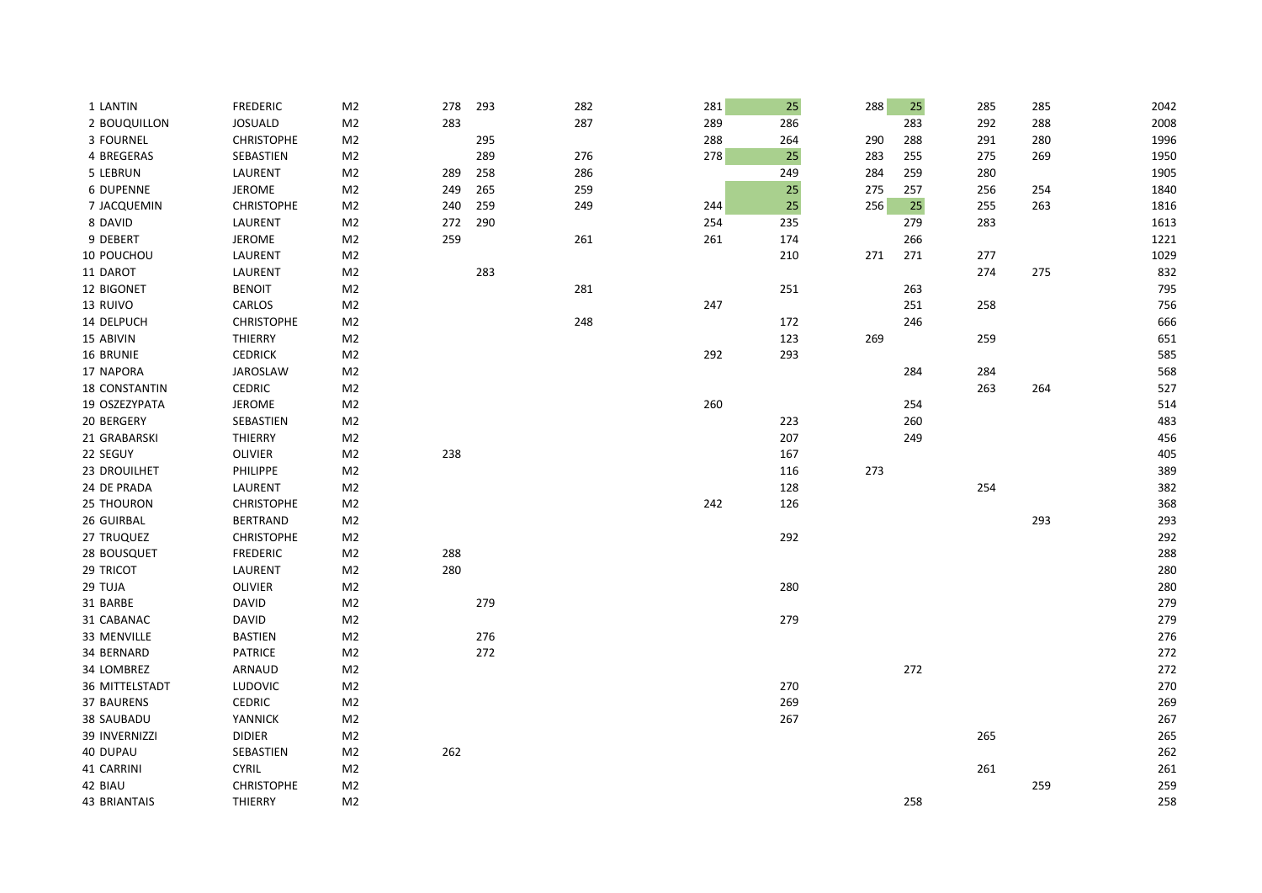| 1 LANTIN             | <b>FREDERIC</b>   | M <sub>2</sub> | 278 | 293 | 282 | 281 | 25  | 288 | 25  | 285 | 285 | 2042 |
|----------------------|-------------------|----------------|-----|-----|-----|-----|-----|-----|-----|-----|-----|------|
| 2 BOUQUILLON         | <b>JOSUALD</b>    | M <sub>2</sub> | 283 |     | 287 | 289 | 286 |     | 283 | 292 | 288 | 2008 |
| 3 FOURNEL            | <b>CHRISTOPHE</b> | M <sub>2</sub> |     | 295 |     | 288 | 264 | 290 | 288 | 291 | 280 | 1996 |
| 4 BREGERAS           | SEBASTIEN         | M <sub>2</sub> |     | 289 | 276 | 278 | 25  | 283 | 255 | 275 | 269 | 1950 |
| 5 LEBRUN             | LAURENT           | M <sub>2</sub> | 289 | 258 | 286 |     | 249 | 284 | 259 | 280 |     | 1905 |
| <b>6 DUPENNE</b>     | <b>JEROME</b>     | M <sub>2</sub> | 249 | 265 | 259 |     | 25  | 275 | 257 | 256 | 254 | 1840 |
| 7 JACQUEMIN          | <b>CHRISTOPHE</b> | M <sub>2</sub> | 240 | 259 | 249 | 244 | 25  | 256 | 25  | 255 | 263 | 1816 |
| 8 DAVID              | LAURENT           | M <sub>2</sub> | 272 | 290 |     | 254 | 235 |     | 279 | 283 |     | 1613 |
| 9 DEBERT             | <b>JEROME</b>     | M <sub>2</sub> | 259 |     | 261 | 261 | 174 |     | 266 |     |     | 1221 |
| 10 POUCHOU           | LAURENT           | M <sub>2</sub> |     |     |     |     | 210 | 271 | 271 | 277 |     | 1029 |
| 11 DAROT             | LAURENT           | M <sub>2</sub> |     | 283 |     |     |     |     |     | 274 | 275 | 832  |
| 12 BIGONET           | <b>BENOIT</b>     | M <sub>2</sub> |     |     | 281 |     | 251 |     | 263 |     |     | 795  |
| 13 RUIVO             | CARLOS            | M <sub>2</sub> |     |     |     | 247 |     |     | 251 | 258 |     | 756  |
| 14 DELPUCH           | <b>CHRISTOPHE</b> | M <sub>2</sub> |     |     | 248 |     | 172 |     | 246 |     |     | 666  |
| 15 ABIVIN            | THIERRY           | M <sub>2</sub> |     |     |     |     | 123 | 269 |     | 259 |     | 651  |
| 16 BRUNIE            | <b>CEDRICK</b>    | M <sub>2</sub> |     |     |     | 292 | 293 |     |     |     |     | 585  |
| 17 NAPORA            | <b>JAROSLAW</b>   | M <sub>2</sub> |     |     |     |     |     |     | 284 | 284 |     | 568  |
| <b>18 CONSTANTIN</b> | <b>CEDRIC</b>     | M <sub>2</sub> |     |     |     |     |     |     |     | 263 | 264 | 527  |
| 19 OSZEZYPATA        | <b>JEROME</b>     | M <sub>2</sub> |     |     |     | 260 |     |     | 254 |     |     | 514  |
| 20 BERGERY           | SEBASTIEN         | M <sub>2</sub> |     |     |     |     | 223 |     | 260 |     |     | 483  |
| 21 GRABARSKI         | THIERRY           | M <sub>2</sub> |     |     |     |     | 207 |     | 249 |     |     | 456  |
| 22 SEGUY             | <b>OLIVIER</b>    | M <sub>2</sub> | 238 |     |     |     | 167 |     |     |     |     | 405  |
| 23 DROUILHET         | PHILIPPE          | M <sub>2</sub> |     |     |     |     | 116 | 273 |     |     |     | 389  |
| 24 DE PRADA          | LAURENT           | M <sub>2</sub> |     |     |     |     | 128 |     |     | 254 |     | 382  |
| 25 THOURON           | <b>CHRISTOPHE</b> | M <sub>2</sub> |     |     |     | 242 | 126 |     |     |     |     | 368  |
| 26 GUIRBAL           | <b>BERTRAND</b>   | M <sub>2</sub> |     |     |     |     |     |     |     |     | 293 | 293  |
| 27 TRUQUEZ           | <b>CHRISTOPHE</b> | M <sub>2</sub> |     |     |     |     | 292 |     |     |     |     | 292  |
| 28 BOUSQUET          | <b>FREDERIC</b>   | M <sub>2</sub> | 288 |     |     |     |     |     |     |     |     | 288  |
| 29 TRICOT            | LAURENT           | M <sub>2</sub> | 280 |     |     |     |     |     |     |     |     | 280  |
| 29 TUJA              | <b>OLIVIER</b>    | M <sub>2</sub> |     |     |     |     | 280 |     |     |     |     | 280  |
| 31 BARBE             | <b>DAVID</b>      | M <sub>2</sub> |     | 279 |     |     |     |     |     |     |     | 279  |
| 31 CABANAC           | <b>DAVID</b>      | M <sub>2</sub> |     |     |     |     | 279 |     |     |     |     | 279  |
| 33 MENVILLE          | <b>BASTIEN</b>    | M <sub>2</sub> |     | 276 |     |     |     |     |     |     |     | 276  |
| 34 BERNARD           | <b>PATRICE</b>    | M <sub>2</sub> |     | 272 |     |     |     |     |     |     |     | 272  |
| 34 LOMBREZ           | ARNAUD            | M <sub>2</sub> |     |     |     |     |     |     | 272 |     |     | 272  |
| 36 MITTELSTADT       | LUDOVIC           | M <sub>2</sub> |     |     |     |     | 270 |     |     |     |     | 270  |
| 37 BAURENS           | <b>CEDRIC</b>     | M <sub>2</sub> |     |     |     |     | 269 |     |     |     |     | 269  |
| 38 SAUBADU           | YANNICK           | M <sub>2</sub> |     |     |     |     | 267 |     |     |     |     | 267  |
| 39 INVERNIZZI        | <b>DIDIER</b>     | M <sub>2</sub> |     |     |     |     |     |     |     | 265 |     | 265  |
| 40 DUPAU             | SEBASTIEN         | M <sub>2</sub> | 262 |     |     |     |     |     |     |     |     | 262  |
| 41 CARRINI           | <b>CYRIL</b>      | M <sub>2</sub> |     |     |     |     |     |     |     | 261 |     | 261  |
| 42 BIAU              | <b>CHRISTOPHE</b> | M <sub>2</sub> |     |     |     |     |     |     |     |     | 259 | 259  |
| <b>43 BRIANTAIS</b>  | THIERRY           | M <sub>2</sub> |     |     |     |     |     |     | 258 |     |     | 258  |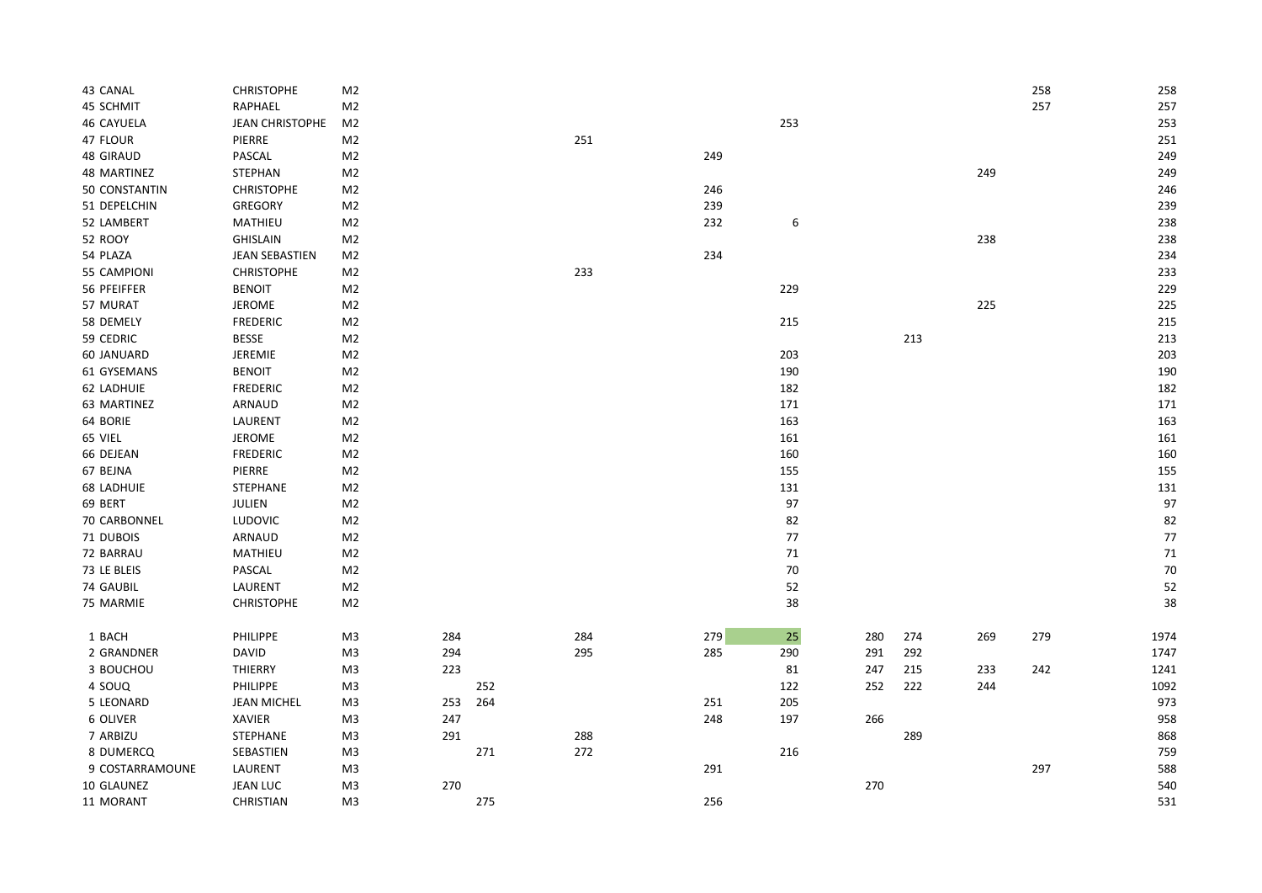| 43 CANAL          | <b>CHRISTOPHE</b>      | M2             |     |     |     |     |        |     |     |     | 258 | 258  |
|-------------------|------------------------|----------------|-----|-----|-----|-----|--------|-----|-----|-----|-----|------|
| 45 SCHMIT         | RAPHAEL                | M <sub>2</sub> |     |     |     |     |        |     |     |     | 257 | 257  |
| <b>46 CAYUELA</b> | <b>JEAN CHRISTOPHE</b> | M <sub>2</sub> |     |     |     |     | 253    |     |     |     |     | 253  |
| 47 FLOUR          | PIERRE                 | M <sub>2</sub> |     |     | 251 |     |        |     |     |     |     | 251  |
| 48 GIRAUD         | PASCAL                 | M <sub>2</sub> |     |     |     | 249 |        |     |     |     |     | 249  |
| 48 MARTINEZ       | <b>STEPHAN</b>         | M <sub>2</sub> |     |     |     |     |        |     |     | 249 |     | 249  |
| 50 CONSTANTIN     | <b>CHRISTOPHE</b>      | M2             |     |     |     | 246 |        |     |     |     |     | 246  |
| 51 DEPELCHIN      | <b>GREGORY</b>         | M <sub>2</sub> |     |     |     | 239 |        |     |     |     |     | 239  |
| 52 LAMBERT        | MATHIEU                | M <sub>2</sub> |     |     |     | 232 | 6      |     |     |     |     | 238  |
| <b>52 ROOY</b>    | <b>GHISLAIN</b>        | M2             |     |     |     |     |        |     |     | 238 |     | 238  |
| 54 PLAZA          | <b>JEAN SEBASTIEN</b>  | M <sub>2</sub> |     |     |     | 234 |        |     |     |     |     | 234  |
| 55 CAMPIONI       | <b>CHRISTOPHE</b>      | M <sub>2</sub> |     |     | 233 |     |        |     |     |     |     | 233  |
| 56 PFEIFFER       | <b>BENOIT</b>          | M <sub>2</sub> |     |     |     |     | 229    |     |     |     |     | 229  |
| 57 MURAT          | <b>JEROME</b>          | M2             |     |     |     |     |        |     |     | 225 |     | 225  |
| 58 DEMELY         | <b>FREDERIC</b>        | M <sub>2</sub> |     |     |     |     | 215    |     |     |     |     | 215  |
| 59 CEDRIC         | <b>BESSE</b>           | M <sub>2</sub> |     |     |     |     |        |     | 213 |     |     | 213  |
| 60 JANUARD        | JEREMIE                | M <sub>2</sub> |     |     |     |     | 203    |     |     |     |     | 203  |
| 61 GYSEMANS       | <b>BENOIT</b>          | M <sub>2</sub> |     |     |     |     | 190    |     |     |     |     | 190  |
| 62 LADHUIE        | <b>FREDERIC</b>        | M2             |     |     |     |     | 182    |     |     |     |     | 182  |
| 63 MARTINEZ       | ARNAUD                 | M <sub>2</sub> |     |     |     |     | 171    |     |     |     |     | 171  |
| 64 BORIE          | LAURENT                | M <sub>2</sub> |     |     |     |     | 163    |     |     |     |     | 163  |
| 65 VIEL           | <b>JEROME</b>          | M <sub>2</sub> |     |     |     |     | 161    |     |     |     |     | 161  |
| 66 DEJEAN         | <b>FREDERIC</b>        | M2             |     |     |     |     | 160    |     |     |     |     | 160  |
| 67 BEJNA          | PIERRE                 | M <sub>2</sub> |     |     |     |     | 155    |     |     |     |     | 155  |
| <b>68 LADHUIE</b> | STEPHANE               | M2             |     |     |     |     | 131    |     |     |     |     | 131  |
| 69 BERT           | JULIEN                 | M <sub>2</sub> |     |     |     |     | 97     |     |     |     |     | 97   |
| 70 CARBONNEL      | LUDOVIC                | M <sub>2</sub> |     |     |     |     | 82     |     |     |     |     | 82   |
| 71 DUBOIS         | ARNAUD                 | M <sub>2</sub> |     |     |     |     | $77$   |     |     |     |     | 77   |
| 72 BARRAU         | MATHIEU                | M2             |     |     |     |     | 71     |     |     |     |     | 71   |
| 73 LE BLEIS       | PASCAL                 | M <sub>2</sub> |     |     |     |     | $70\,$ |     |     |     |     | 70   |
| 74 GAUBIL         | LAURENT                | M <sub>2</sub> |     |     |     |     | 52     |     |     |     |     | 52   |
| 75 MARMIE         | <b>CHRISTOPHE</b>      | M <sub>2</sub> |     |     |     |     | 38     |     |     |     |     | 38   |
|                   |                        |                |     |     |     |     |        |     |     |     |     |      |
| 1 BACH            | PHILIPPE               | M <sub>3</sub> | 284 |     | 284 | 279 | 25     | 280 | 274 | 269 | 279 | 1974 |
| 2 GRANDNER        | <b>DAVID</b>           | M3             | 294 |     | 295 | 285 | 290    | 291 | 292 |     |     | 1747 |
| 3 BOUCHOU         | THIERRY                | M3             | 223 |     |     |     | 81     | 247 | 215 | 233 | 242 | 1241 |
| 4 SOUQ            | PHILIPPE               | M3             |     | 252 |     |     | 122    | 252 | 222 | 244 |     | 1092 |
| 5 LEONARD         | <b>JEAN MICHEL</b>     | M3             | 253 | 264 |     | 251 | 205    |     |     |     |     | 973  |
| 6 OLIVER          | XAVIER                 | M3             | 247 |     |     | 248 | 197    | 266 |     |     |     | 958  |
| 7 ARBIZU          | STEPHANE               | M3             | 291 |     | 288 |     |        |     | 289 |     |     | 868  |
| 8 DUMERCQ         | SEBASTIEN              | M3             |     | 271 | 272 |     | 216    |     |     |     |     | 759  |
| 9 COSTARRAMOUNE   | LAURENT                | M3             |     |     |     | 291 |        |     |     |     | 297 | 588  |
| 10 GLAUNEZ        | <b>JEAN LUC</b>        | M3             | 270 |     |     |     |        | 270 |     |     |     | 540  |
| 11 MORANT         | CHRISTIAN              | M <sub>3</sub> |     | 275 |     | 256 |        |     |     |     |     | 531  |
|                   |                        |                |     |     |     |     |        |     |     |     |     |      |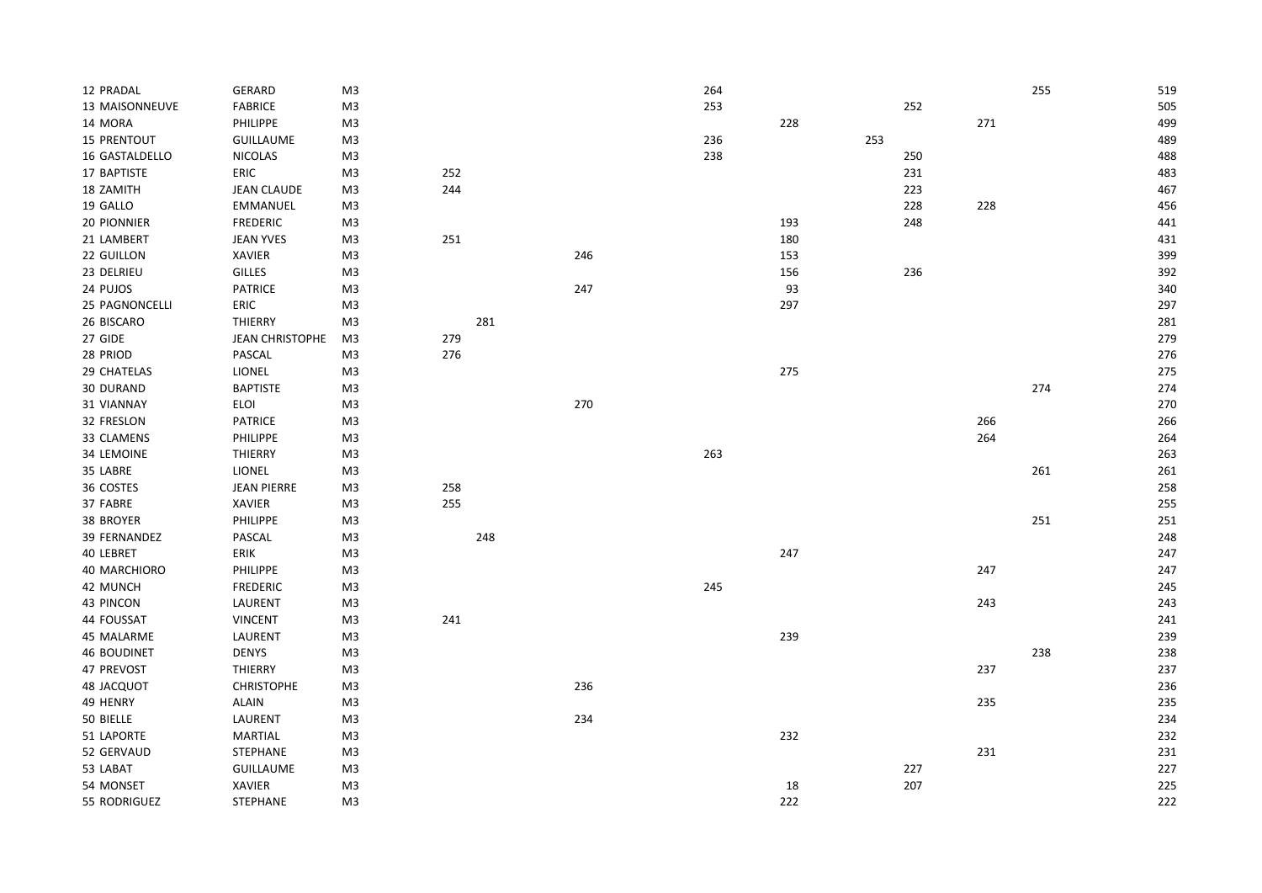| 12 PRADAL          | GERARD                 | M <sub>3</sub> |     |     |     | 264 |     |     |     |     | 255 | 519 |
|--------------------|------------------------|----------------|-----|-----|-----|-----|-----|-----|-----|-----|-----|-----|
| 13 MAISONNEUVE     | <b>FABRICE</b>         | M <sub>3</sub> |     |     |     | 253 |     |     | 252 |     |     | 505 |
| 14 MORA            | PHILIPPE               | M3             |     |     |     |     | 228 |     |     | 271 |     | 499 |
| <b>15 PRENTOUT</b> | <b>GUILLAUME</b>       | M3             |     |     |     | 236 |     | 253 |     |     |     | 489 |
| 16 GASTALDELLO     | <b>NICOLAS</b>         | M3             |     |     |     | 238 |     |     | 250 |     |     | 488 |
| 17 BAPTISTE        | ERIC                   | M3             | 252 |     |     |     |     |     | 231 |     |     | 483 |
| 18 ZAMITH          | <b>JEAN CLAUDE</b>     | M3             | 244 |     |     |     |     |     | 223 |     |     | 467 |
| 19 GALLO           | EMMANUEL               | M3             |     |     |     |     |     |     | 228 | 228 |     | 456 |
| 20 PIONNIER        | <b>FREDERIC</b>        | M3             |     |     |     |     | 193 |     | 248 |     |     | 441 |
| 21 LAMBERT         | <b>JEAN YVES</b>       | M3             | 251 |     |     |     | 180 |     |     |     |     | 431 |
| 22 GUILLON         | XAVIER                 | M <sub>3</sub> |     |     | 246 |     | 153 |     |     |     |     | 399 |
| 23 DELRIEU         | <b>GILLES</b>          | M3             |     |     |     |     | 156 |     | 236 |     |     | 392 |
| 24 PUJOS           | <b>PATRICE</b>         | M3             |     |     | 247 |     | 93  |     |     |     |     | 340 |
| 25 PAGNONCELLI     | ERIC                   | M3             |     |     |     |     | 297 |     |     |     |     | 297 |
| 26 BISCARO         | THIERRY                | M3             |     | 281 |     |     |     |     |     |     |     | 281 |
| 27 GIDE            | <b>JEAN CHRISTOPHE</b> | M3             | 279 |     |     |     |     |     |     |     |     | 279 |
| 28 PRIOD           | PASCAL                 | M3             | 276 |     |     |     |     |     |     |     |     | 276 |
| 29 CHATELAS        | <b>LIONEL</b>          | M3             |     |     |     |     | 275 |     |     |     |     | 275 |
| 30 DURAND          | <b>BAPTISTE</b>        | M3             |     |     |     |     |     |     |     |     | 274 | 274 |
| 31 VIANNAY         | ELOI                   | M <sub>3</sub> |     |     | 270 |     |     |     |     |     |     | 270 |
| 32 FRESLON         | <b>PATRICE</b>         | M3             |     |     |     |     |     |     |     | 266 |     | 266 |
| 33 CLAMENS         | PHILIPPE               | M <sub>3</sub> |     |     |     |     |     |     |     | 264 |     | 264 |
| 34 LEMOINE         | THIERRY                | M3             |     |     |     | 263 |     |     |     |     |     | 263 |
| 35 LABRE           | LIONEL                 | M3             |     |     |     |     |     |     |     |     | 261 | 261 |
| 36 COSTES          | <b>JEAN PIERRE</b>     | M3             | 258 |     |     |     |     |     |     |     |     | 258 |
| 37 FABRE           | <b>XAVIER</b>          | M3             | 255 |     |     |     |     |     |     |     |     | 255 |
| 38 BROYER          | PHILIPPE               | M3             |     |     |     |     |     |     |     |     | 251 | 251 |
| 39 FERNANDEZ       | PASCAL                 | M3             |     | 248 |     |     |     |     |     |     |     | 248 |
| 40 LEBRET          | ERIK                   | M3             |     |     |     |     | 247 |     |     |     |     | 247 |
| 40 MARCHIORO       | PHILIPPE               | M3             |     |     |     |     |     |     |     | 247 |     | 247 |
| 42 MUNCH           | <b>FREDERIC</b>        | M3             |     |     |     | 245 |     |     |     |     |     | 245 |
| 43 PINCON          | LAURENT                | M3             |     |     |     |     |     |     |     | 243 |     | 243 |
| 44 FOUSSAT         | <b>VINCENT</b>         | M3             | 241 |     |     |     |     |     |     |     |     | 241 |
| 45 MALARME         | LAURENT                | M3             |     |     |     |     | 239 |     |     |     |     | 239 |
| <b>46 BOUDINET</b> | <b>DENYS</b>           | M3             |     |     |     |     |     |     |     |     | 238 | 238 |
| 47 PREVOST         | THIERRY                | M3             |     |     |     |     |     |     |     | 237 |     | 237 |
| 48 JACQUOT         | <b>CHRISTOPHE</b>      | M3             |     |     | 236 |     |     |     |     |     |     | 236 |
| 49 HENRY           | <b>ALAIN</b>           | M3             |     |     |     |     |     |     |     | 235 |     | 235 |
| 50 BIELLE          | LAURENT                | M3             |     |     | 234 |     |     |     |     |     |     | 234 |
| 51 LAPORTE         | <b>MARTIAL</b>         | M3             |     |     |     |     | 232 |     |     |     |     | 232 |
| 52 GERVAUD         | <b>STEPHANE</b>        | M3             |     |     |     |     |     |     |     | 231 |     | 231 |
| 53 LABAT           | <b>GUILLAUME</b>       | M3             |     |     |     |     |     |     | 227 |     |     | 227 |
| 54 MONSET          | <b>XAVIER</b>          | M3             |     |     |     |     | 18  |     | 207 |     |     | 225 |
| 55 RODRIGUEZ       | <b>STEPHANE</b>        | M <sub>3</sub> |     |     |     |     | 222 |     |     |     |     | 222 |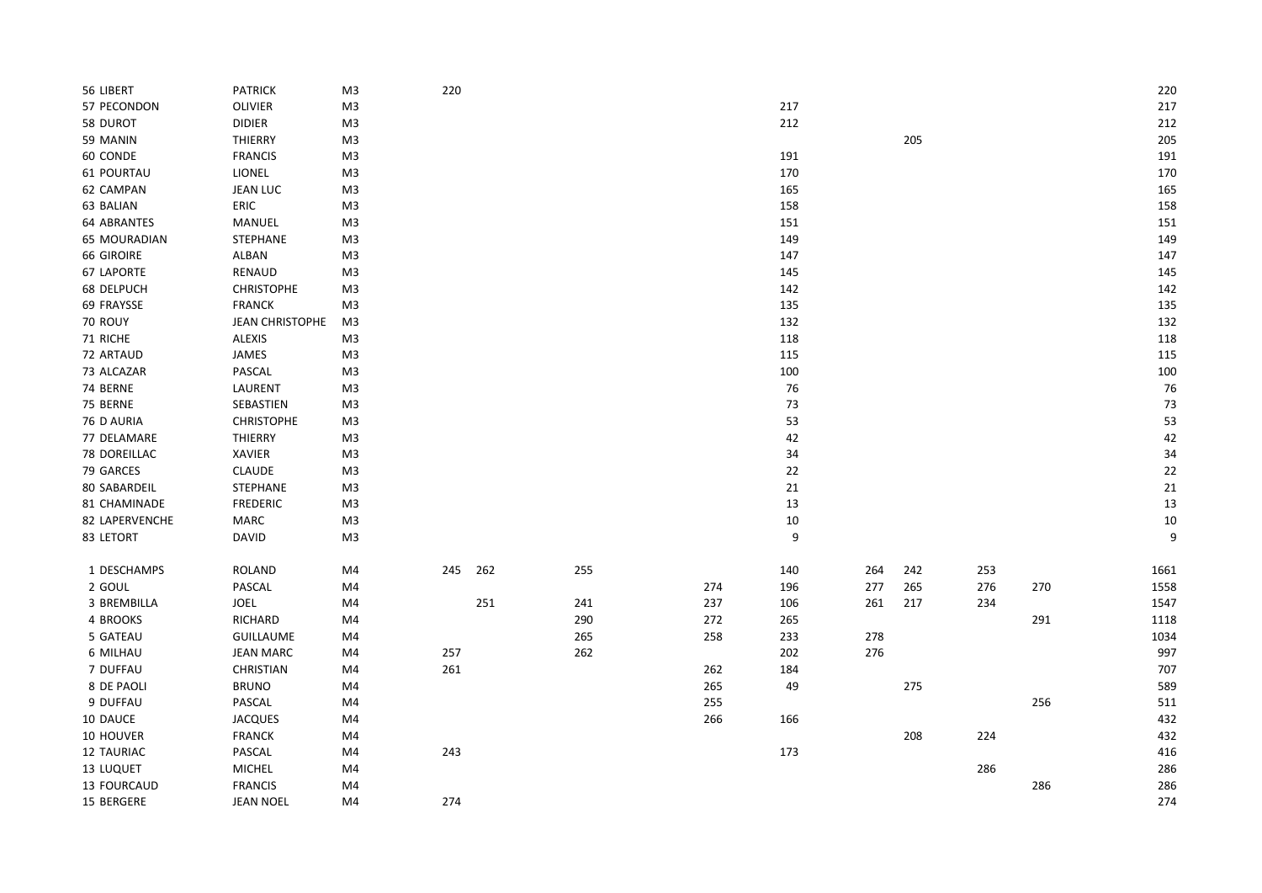| 56 LIBERT         | PATRICK           | M <sub>3</sub> | 220 |     |     |     |     |     |     |     |     | 220  |
|-------------------|-------------------|----------------|-----|-----|-----|-----|-----|-----|-----|-----|-----|------|
| 57 PECONDON       | OLIVIER           | M3             |     |     |     |     | 217 |     |     |     |     | 217  |
| 58 DUROT          | <b>DIDIER</b>     | M3             |     |     |     |     | 212 |     |     |     |     | 212  |
| 59 MANIN          | <b>THIERRY</b>    | M <sub>3</sub> |     |     |     |     |     |     | 205 |     |     | 205  |
| 60 CONDE          | <b>FRANCIS</b>    | M <sub>3</sub> |     |     |     |     | 191 |     |     |     |     | 191  |
| 61 POURTAU        | LIONEL            | M <sub>3</sub> |     |     |     |     | 170 |     |     |     |     | 170  |
| 62 CAMPAN         | <b>JEAN LUC</b>   | M <sub>3</sub> |     |     |     |     | 165 |     |     |     |     | 165  |
| 63 BALIAN         | ERIC              | M3             |     |     |     |     | 158 |     |     |     |     | 158  |
| 64 ABRANTES       | MANUEL            | M3             |     |     |     |     | 151 |     |     |     |     | 151  |
| 65 MOURADIAN      | STEPHANE          | M <sub>3</sub> |     |     |     |     | 149 |     |     |     |     | 149  |
| <b>66 GIROIRE</b> | ALBAN             | M <sub>3</sub> |     |     |     |     | 147 |     |     |     |     | 147  |
| 67 LAPORTE        | RENAUD            | M <sub>3</sub> |     |     |     |     | 145 |     |     |     |     | 145  |
| 68 DELPUCH        | CHRISTOPHE        | M3             |     |     |     |     | 142 |     |     |     |     | 142  |
| 69 FRAYSSE        | <b>FRANCK</b>     | M3             |     |     |     |     | 135 |     |     |     |     | 135  |
| 70 ROUY           | JEAN CHRISTOPHE   | M3             |     |     |     |     | 132 |     |     |     |     | 132  |
| 71 RICHE          | <b>ALEXIS</b>     | M <sub>3</sub> |     |     |     |     | 118 |     |     |     |     | 118  |
| 72 ARTAUD         | JAMES             | M <sub>3</sub> |     |     |     |     | 115 |     |     |     |     | 115  |
| 73 ALCAZAR        | PASCAL            | M <sub>3</sub> |     |     |     |     | 100 |     |     |     |     | 100  |
| 74 BERNE          | LAURENT           | M3             |     |     |     |     | 76  |     |     |     |     | 76   |
| 75 BERNE          | SEBASTIEN         | M3             |     |     |     |     | 73  |     |     |     |     | 73   |
| 76 D AURIA        | <b>CHRISTOPHE</b> | M <sub>3</sub> |     |     |     |     | 53  |     |     |     |     | 53   |
| 77 DELAMARE       | THIERRY           | M <sub>3</sub> |     |     |     |     | 42  |     |     |     |     | 42   |
| 78 DOREILLAC      | <b>XAVIER</b>     | M <sub>3</sub> |     |     |     |     | 34  |     |     |     |     | 34   |
| 79 GARCES         | CLAUDE            | M3             |     |     |     |     | 22  |     |     |     |     | 22   |
| 80 SABARDEIL      | STEPHANE          | M3             |     |     |     |     | 21  |     |     |     |     | 21   |
| 81 CHAMINADE      | <b>FREDERIC</b>   | M3             |     |     |     |     | 13  |     |     |     |     | 13   |
| 82 LAPERVENCHE    | <b>MARC</b>       | M <sub>3</sub> |     |     |     |     | 10  |     |     |     |     | 10   |
| 83 LETORT         | <b>DAVID</b>      | M <sub>3</sub> |     |     |     |     | 9   |     |     |     |     | 9    |
|                   |                   |                |     |     |     |     |     |     |     |     |     |      |
| 1 DESCHAMPS       | <b>ROLAND</b>     | M4             | 245 | 262 | 255 |     | 140 | 264 | 242 | 253 |     | 1661 |
| 2 GOUL            | PASCAL            | M4             |     |     |     | 274 | 196 | 277 | 265 | 276 | 270 | 1558 |
| 3 BREMBILLA       | <b>JOEL</b>       | M4             |     | 251 | 241 | 237 | 106 | 261 | 217 | 234 |     | 1547 |
| 4 BROOKS          | RICHARD           | M4             |     |     | 290 | 272 | 265 |     |     |     | 291 | 1118 |
| 5 GATEAU          | <b>GUILLAUME</b>  | M4             |     |     | 265 | 258 | 233 | 278 |     |     |     | 1034 |
| 6 MILHAU          | <b>JEAN MARC</b>  | M4             | 257 |     | 262 |     | 202 | 276 |     |     |     | 997  |
| 7 DUFFAU          | CHRISTIAN         | M4             | 261 |     |     | 262 | 184 |     |     |     |     | 707  |
| 8 DE PAOLI        | <b>BRUNO</b>      | M4             |     |     |     | 265 | 49  |     | 275 |     |     | 589  |
| 9 DUFFAU          | PASCAL            | M4             |     |     |     | 255 |     |     |     |     | 256 | 511  |
| 10 DAUCE          | <b>JACQUES</b>    | M4             |     |     |     | 266 | 166 |     |     |     |     | 432  |
| 10 HOUVER         | <b>FRANCK</b>     | M4             |     |     |     |     |     |     | 208 | 224 |     | 432  |
| 12 TAURIAC        | PASCAL            | M4             | 243 |     |     |     | 173 |     |     |     |     | 416  |
| 13 LUQUET         | <b>MICHEL</b>     | M4             |     |     |     |     |     |     |     | 286 |     | 286  |
| 13 FOURCAUD       | <b>FRANCIS</b>    | M4             |     |     |     |     |     |     |     |     | 286 | 286  |
| 15 BERGERE        | <b>JEAN NOEL</b>  | M4             | 274 |     |     |     |     |     |     |     |     | 274  |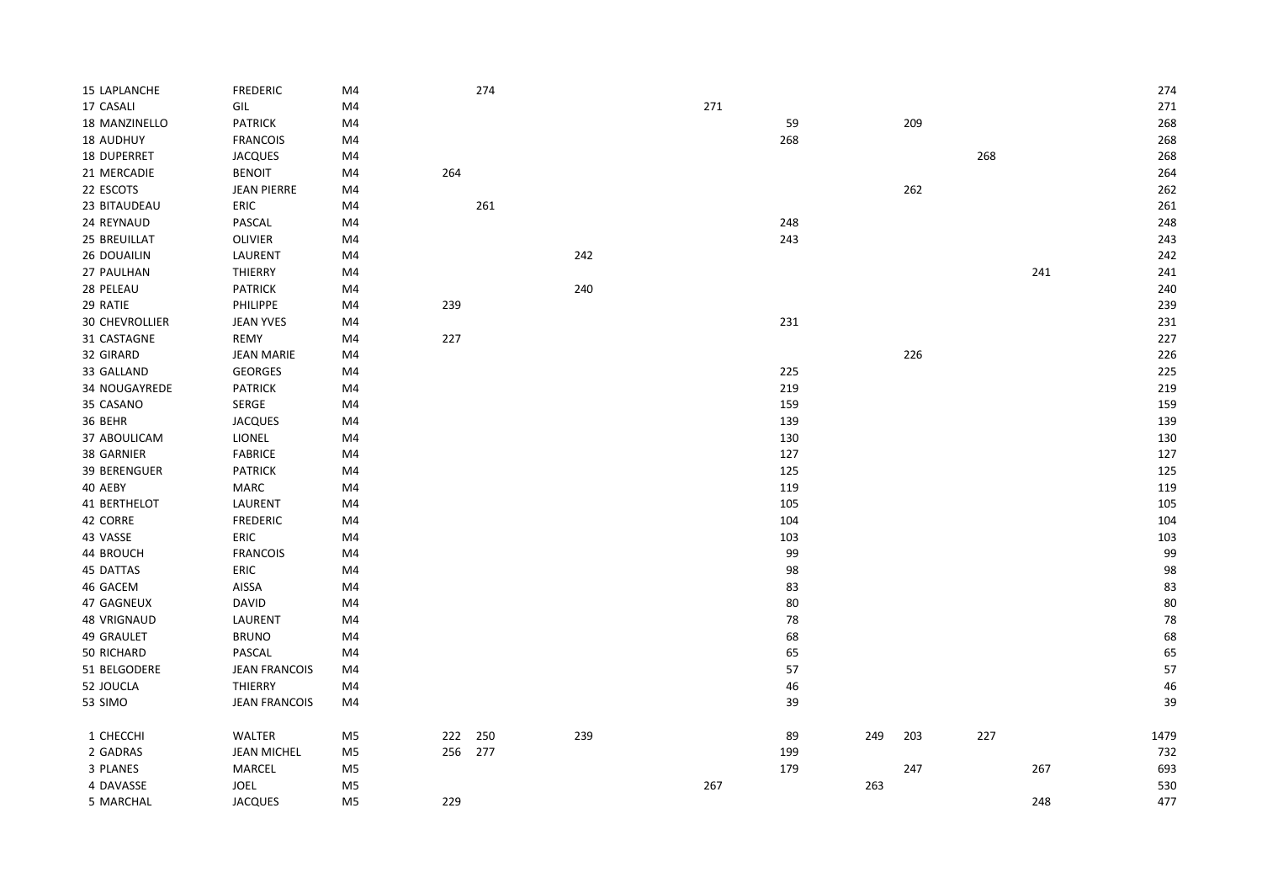| 15 LAPLANCHE       | <b>FREDERIC</b>      | M4             |         | 274 |     |     |     |     |     |     |     | 274  |
|--------------------|----------------------|----------------|---------|-----|-----|-----|-----|-----|-----|-----|-----|------|
| 17 CASALI          | GIL                  | M4             |         |     |     | 271 |     |     |     |     |     | 271  |
| 18 MANZINELLO      | <b>PATRICK</b>       | M4             |         |     |     |     | 59  |     | 209 |     |     | 268  |
| 18 AUDHUY          | <b>FRANCOIS</b>      | M4             |         |     |     |     | 268 |     |     |     |     | 268  |
| <b>18 DUPERRET</b> | <b>JACQUES</b>       | M4             |         |     |     |     |     |     |     | 268 |     | 268  |
| 21 MERCADIE        | <b>BENOIT</b>        | M4             | 264     |     |     |     |     |     |     |     |     | 264  |
| 22 ESCOTS          | <b>JEAN PIERRE</b>   | M4             |         |     |     |     |     |     | 262 |     |     | 262  |
| 23 BITAUDEAU       | ERIC                 | M4             |         | 261 |     |     |     |     |     |     |     | 261  |
| 24 REYNAUD         | PASCAL               | M4             |         |     |     |     | 248 |     |     |     |     | 248  |
| 25 BREUILLAT       | <b>OLIVIER</b>       | M4             |         |     |     |     | 243 |     |     |     |     | 243  |
| 26 DOUAILIN        | LAURENT              | M4             |         |     | 242 |     |     |     |     |     |     | 242  |
| 27 PAULHAN         | THIERRY              | M4             |         |     |     |     |     |     |     |     | 241 | 241  |
| 28 PELEAU          | <b>PATRICK</b>       | M4             |         |     | 240 |     |     |     |     |     |     | 240  |
| 29 RATIE           | PHILIPPE             | M4             | 239     |     |     |     |     |     |     |     |     | 239  |
| 30 CHEVROLLIER     | <b>JEAN YVES</b>     | M4             |         |     |     |     | 231 |     |     |     |     | 231  |
| 31 CASTAGNE        | REMY                 | M4             | 227     |     |     |     |     |     |     |     |     | 227  |
| 32 GIRARD          | <b>JEAN MARIE</b>    | M4             |         |     |     |     |     |     | 226 |     |     | 226  |
| 33 GALLAND         | <b>GEORGES</b>       | M4             |         |     |     |     | 225 |     |     |     |     | 225  |
| 34 NOUGAYREDE      | PATRICK              | M4             |         |     |     |     | 219 |     |     |     |     | 219  |
| 35 CASANO          | SERGE                | M4             |         |     |     |     | 159 |     |     |     |     | 159  |
| 36 BEHR            | <b>JACQUES</b>       | M4             |         |     |     |     | 139 |     |     |     |     | 139  |
| 37 ABOULICAM       | LIONEL               | M4             |         |     |     |     | 130 |     |     |     |     | 130  |
| 38 GARNIER         | <b>FABRICE</b>       | M4             |         |     |     |     | 127 |     |     |     |     | 127  |
| 39 BERENGUER       | PATRICK              | M4             |         |     |     |     | 125 |     |     |     |     | 125  |
| 40 AEBY            | MARC                 | M4             |         |     |     |     | 119 |     |     |     |     | 119  |
| 41 BERTHELOT       | LAURENT              | M4             |         |     |     |     | 105 |     |     |     |     | 105  |
| 42 CORRE           | <b>FREDERIC</b>      | M4             |         |     |     |     | 104 |     |     |     |     | 104  |
| 43 VASSE           | ERIC                 | M4             |         |     |     |     | 103 |     |     |     |     | 103  |
| 44 BROUCH          | <b>FRANCOIS</b>      | M4             |         |     |     |     | 99  |     |     |     |     | 99   |
| 45 DATTAS          | ERIC                 | M4             |         |     |     |     | 98  |     |     |     |     | 98   |
| 46 GACEM           | AISSA                | M4             |         |     |     |     | 83  |     |     |     |     | 83   |
| 47 GAGNEUX         | <b>DAVID</b>         | M4             |         |     |     |     | 80  |     |     |     |     | 80   |
| <b>48 VRIGNAUD</b> | LAURENT              | M4             |         |     |     |     | 78  |     |     |     |     | 78   |
| 49 GRAULET         | <b>BRUNO</b>         | M4             |         |     |     |     | 68  |     |     |     |     | 68   |
| 50 RICHARD         | PASCAL               | M4             |         |     |     |     | 65  |     |     |     |     | 65   |
| 51 BELGODERE       | <b>JEAN FRANCOIS</b> | M4             |         |     |     |     | 57  |     |     |     |     | 57   |
| 52 JOUCLA          | THIERRY              | M4             |         |     |     |     | 46  |     |     |     |     | 46   |
| 53 SIMO            | <b>JEAN FRANCOIS</b> | M4             |         |     |     |     | 39  |     |     |     |     | 39   |
| 1 CHECCHI          | WALTER               | M5             | 222     | 250 | 239 |     | 89  | 249 | 203 | 227 |     | 1479 |
| 2 GADRAS           | <b>JEAN MICHEL</b>   | M <sub>5</sub> | 256 277 |     |     |     | 199 |     |     |     |     | 732  |
| 3 PLANES           | MARCEL               | M5             |         |     |     |     | 179 |     | 247 |     | 267 | 693  |
| 4 DAVASSE          | <b>JOEL</b>          | M5             |         |     |     | 267 |     | 263 |     |     |     | 530  |
| 5 MARCHAL          | <b>JACQUES</b>       | M <sub>5</sub> | 229     |     |     |     |     |     |     |     | 248 | 477  |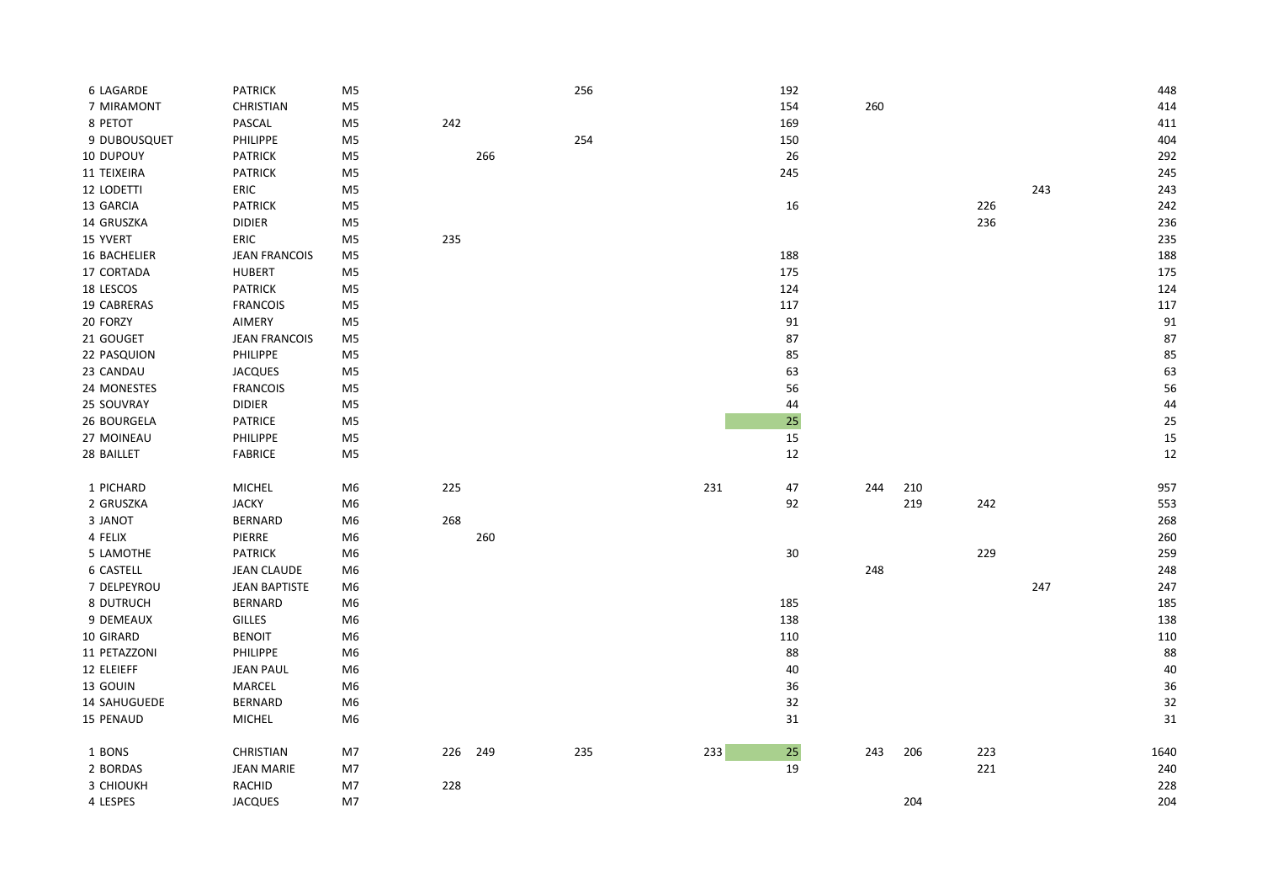| 6 LAGARDE    | PATRICK              | M <sub>5</sub> |     |     | 256 |     | 192    |     |     |     |     | 448  |
|--------------|----------------------|----------------|-----|-----|-----|-----|--------|-----|-----|-----|-----|------|
| 7 MIRAMONT   | CHRISTIAN            | M5             |     |     |     |     | 154    | 260 |     |     |     | 414  |
| 8 PETOT      | PASCAL               | M5             | 242 |     |     |     | 169    |     |     |     |     | 411  |
| 9 DUBOUSQUET | PHILIPPE             | M5             |     |     | 254 |     | 150    |     |     |     |     | 404  |
| 10 DUPOUY    | <b>PATRICK</b>       | M <sub>5</sub> |     | 266 |     |     | 26     |     |     |     |     | 292  |
| 11 TEIXEIRA  | <b>PATRICK</b>       | M <sub>5</sub> |     |     |     |     | 245    |     |     |     |     | 245  |
| 12 LODETTI   | ERIC                 | M5             |     |     |     |     |        |     |     |     | 243 | 243  |
| 13 GARCIA    | <b>PATRICK</b>       | M <sub>5</sub> |     |     |     |     | $16\,$ |     |     | 226 |     | 242  |
| 14 GRUSZKA   | <b>DIDIER</b>        | M <sub>5</sub> |     |     |     |     |        |     |     | 236 |     | 236  |
| 15 YVERT     | ERIC                 | M <sub>5</sub> | 235 |     |     |     |        |     |     |     |     | 235  |
| 16 BACHELIER | <b>JEAN FRANCOIS</b> | M5             |     |     |     |     | 188    |     |     |     |     | 188  |
| 17 CORTADA   | <b>HUBERT</b>        | M5             |     |     |     |     | 175    |     |     |     |     | 175  |
| 18 LESCOS    | <b>PATRICK</b>       | M5             |     |     |     |     | 124    |     |     |     |     | 124  |
| 19 CABRERAS  | <b>FRANCOIS</b>      | M5             |     |     |     |     | 117    |     |     |     |     | 117  |
| 20 FORZY     | AIMERY               | M <sub>5</sub> |     |     |     |     | 91     |     |     |     |     | 91   |
| 21 GOUGET    | <b>JEAN FRANCOIS</b> | M <sub>5</sub> |     |     |     |     | 87     |     |     |     |     | 87   |
| 22 PASQUION  | PHILIPPE             | M <sub>5</sub> |     |     |     |     | 85     |     |     |     |     | 85   |
| 23 CANDAU    | <b>JACQUES</b>       | M5             |     |     |     |     | 63     |     |     |     |     | 63   |
| 24 MONESTES  | <b>FRANCOIS</b>      | M5             |     |     |     |     | 56     |     |     |     |     | 56   |
| 25 SOUVRAY   | <b>DIDIER</b>        | M <sub>5</sub> |     |     |     |     | 44     |     |     |     |     | 44   |
| 26 BOURGELA  | PATRICE              | M5             |     |     |     |     | 25     |     |     |     |     | 25   |
| 27 MOINEAU   | PHILIPPE             | M5             |     |     |     |     | 15     |     |     |     |     | 15   |
| 28 BAILLET   | FABRICE              | M5             |     |     |     |     | 12     |     |     |     |     | 12   |
| 1 PICHARD    | <b>MICHEL</b>        | M6             | 225 |     |     | 231 | 47     | 244 | 210 |     |     | 957  |
| 2 GRUSZKA    | <b>JACKY</b>         | M6             |     |     |     |     | 92     |     | 219 | 242 |     | 553  |
| 3 JANOT      | <b>BERNARD</b>       | M6             | 268 |     |     |     |        |     |     |     |     | 268  |
| 4 FELIX      | PIERRE               | M6             |     | 260 |     |     |        |     |     |     |     | 260  |
| 5 LAMOTHE    | <b>PATRICK</b>       | M6             |     |     |     |     | $30\,$ |     |     | 229 |     | 259  |
| 6 CASTELL    | <b>JEAN CLAUDE</b>   | M6             |     |     |     |     |        | 248 |     |     |     | 248  |
| 7 DELPEYROU  | <b>JEAN BAPTISTE</b> | M6             |     |     |     |     |        |     |     |     | 247 | 247  |
| 8 DUTRUCH    | <b>BERNARD</b>       | M6             |     |     |     |     | 185    |     |     |     |     | 185  |
| 9 DEMEAUX    | <b>GILLES</b>        | M6             |     |     |     |     | 138    |     |     |     |     | 138  |
| 10 GIRARD    | <b>BENOIT</b>        | M <sub>6</sub> |     |     |     |     | 110    |     |     |     |     | 110  |
| 11 PETAZZONI | PHILIPPE             | M <sub>6</sub> |     |     |     |     | 88     |     |     |     |     | 88   |
| 12 ELEIEFF   | <b>JEAN PAUL</b>     | M6             |     |     |     |     | 40     |     |     |     |     | 40   |
| 13 GOUIN     | MARCEL               | M6             |     |     |     |     | 36     |     |     |     |     | 36   |
| 14 SAHUGUEDE | <b>BERNARD</b>       | M <sub>6</sub> |     |     |     |     | 32     |     |     |     |     | 32   |
| 15 PENAUD    | MICHEL               | M <sub>6</sub> |     |     |     |     | 31     |     |     |     |     | 31   |
| 1 BONS       | <b>CHRISTIAN</b>     | M7             | 226 | 249 | 235 | 233 | $25\,$ | 243 | 206 | 223 |     | 1640 |
| 2 BORDAS     | <b>JEAN MARIE</b>    | M7             |     |     |     |     | 19     |     |     | 221 |     | 240  |
| 3 CHIOUKH    | RACHID               | M7             | 228 |     |     |     |        |     |     |     |     | 228  |
| 4 LESPES     | <b>JACQUES</b>       | M7             |     |     |     |     |        |     | 204 |     |     | 204  |